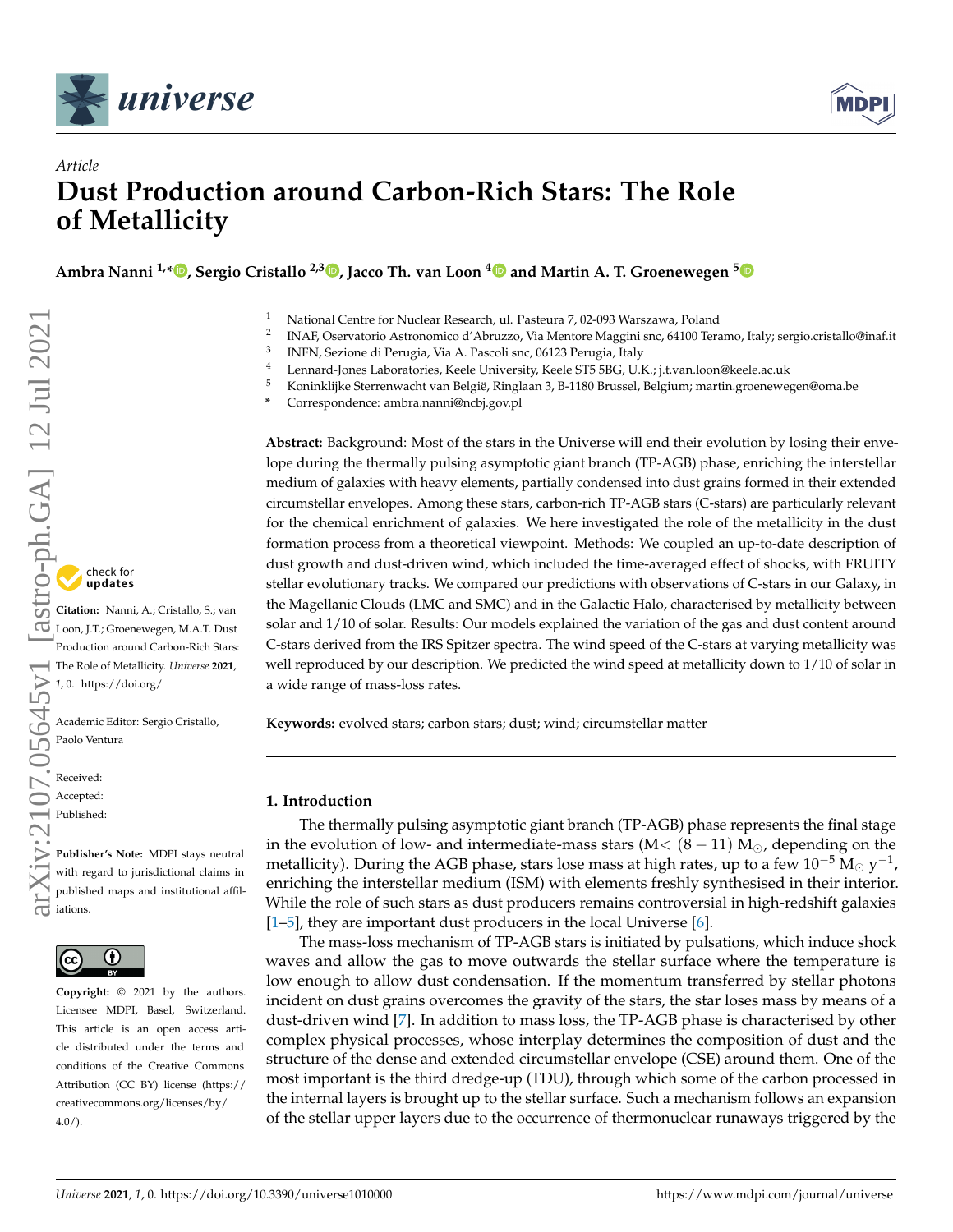



# *Article* **Dust Production around Carbon-Rich Stars: The Role of Metallicity**

**Ambra Nanni 1,\* [,](https://orcid.org/0000-0001-6652-1069) Sergio Cristallo 2,3 [,](https://orcid.org/0000-0001-9683-9406) Jacco Th. van Loon [4](https://orcid.org/0000-0002-1272-3017) and Martin A. T. Groenewegen [5](https://orcid.org/0000-0003-2723-6075)**

- <sup>1</sup> National Centre for Nuclear Research, ul. Pasteura 7, 02-093 Warszawa, Poland
- 2 INAF, Oservatorio Astronomico d'Abruzzo, Via Mentore Maggini snc, 64100 Teramo, Italy; sergio.cristallo@inaf.it
- 3 INFN, Sezione di Perugia, Via A. Pascoli snc, 06123 Perugia, Italy
- 4 Lennard-Jones Laboratories, Keele University, Keele ST5 5BG, U.K.; j.t.van.loon@keele.ac.uk<br>5 Keninklijke Stewartye eht van Polejä Pinelsen 2, P. 1180 Prussel, Polejium martin enematie
- <sup>5</sup> Koninklijke Sterrenwacht van België, Ringlaan 3, B-1180 Brussel, Belgium; martin.groenewegen@oma.be
- **\*** Correspondence: ambra.nanni@ncbj.gov.pl

**Abstract:** Background: Most of the stars in the Universe will end their evolution by losing their envelope during the thermally pulsing asymptotic giant branch (TP-AGB) phase, enriching the interstellar medium of galaxies with heavy elements, partially condensed into dust grains formed in their extended circumstellar envelopes. Among these stars, carbon-rich TP-AGB stars (C-stars) are particularly relevant for the chemical enrichment of galaxies. We here investigated the role of the metallicity in the dust formation process from a theoretical viewpoint. Methods: We coupled an up-to-date description of dust growth and dust-driven wind, which included the time-averaged effect of shocks, with FRUITY stellar evolutionary tracks. We compared our predictions with observations of C-stars in our Galaxy, in the Magellanic Clouds (LMC and SMC) and in the Galactic Halo, characterised by metallicity between solar and 1/10 of solar. Results: Our models explained the variation of the gas and dust content around C-stars derived from the IRS Spitzer spectra. The wind speed of the C-stars at varying metallicity was well reproduced by our description. We predicted the wind speed at metallicity down to 1/10 of solar in a wide range of mass-loss rates.

**Keywords:** evolved stars; carbon stars; dust; wind; circumstellar matter

## **1. Introduction**

The thermally pulsing asymptotic giant branch (TP-AGB) phase represents the final stage in the evolution of low- and intermediate-mass stars ( $M < (8 - 11) M_{\odot}$ , depending on the metallicity). During the AGB phase, stars lose mass at high rates, up to a few  $10^{-5}$   $\mathrm{M}_{\odot}$  y $^{-1}$ , enriching the interstellar medium (ISM) with elements freshly synthesised in their interior. While the role of such stars as dust producers remains controversial in high-redshift galaxies [\[1](#page-13-0)[–5\]](#page-13-1), they are important dust producers in the local Universe [\[6\]](#page-13-2).

The mass-loss mechanism of TP-AGB stars is initiated by pulsations, which induce shock waves and allow the gas to move outwards the stellar surface where the temperature is low enough to allow dust condensation. If the momentum transferred by stellar photons incident on dust grains overcomes the gravity of the stars, the star loses mass by means of a dust-driven wind [\[7\]](#page-13-3). In addition to mass loss, the TP-AGB phase is characterised by other complex physical processes, whose interplay determines the composition of dust and the structure of the dense and extended circumstellar envelope (CSE) around them. One of the most important is the third dredge-up (TDU), through which some of the carbon processed in the internal layers is brought up to the stellar surface. Such a mechanism follows an expansion of the stellar upper layers due to the occurrence of thermonuclear runaways triggered by the

check for<br>**undates** 

**Citation:** Nanni, A.; Cristallo, S.; van Loon, J.T.; Groenewegen, M.A.T. Dust Production around Carbon-Rich Stars: The Role of Metallicity. *Universe* **2021**,

*1*, 0. [https://doi.org/](https://doi.org/10.3390/universe1010000)

Academic Editor: Sergio Cristallo, Paolo Ventura

Received: Accepted: Published:

**Publisher's Note:** MDPI stays neutral with regard to jurisdictional claims in published maps and institutional affil- $\frac{1}{5}$  publish



**Copyright:** © 2021 by the authors. Licensee MDPI, Basel, Switzerland. This article is an open access article distributed under the terms and conditions of the Creative Commons Attribution (CC BY) license (https:/[/](https://creativecommons.org/licenses/by/4.0/) [creativecommons.org/licenses/by/](https://creativecommons.org/licenses/by/4.0/) 4.0/).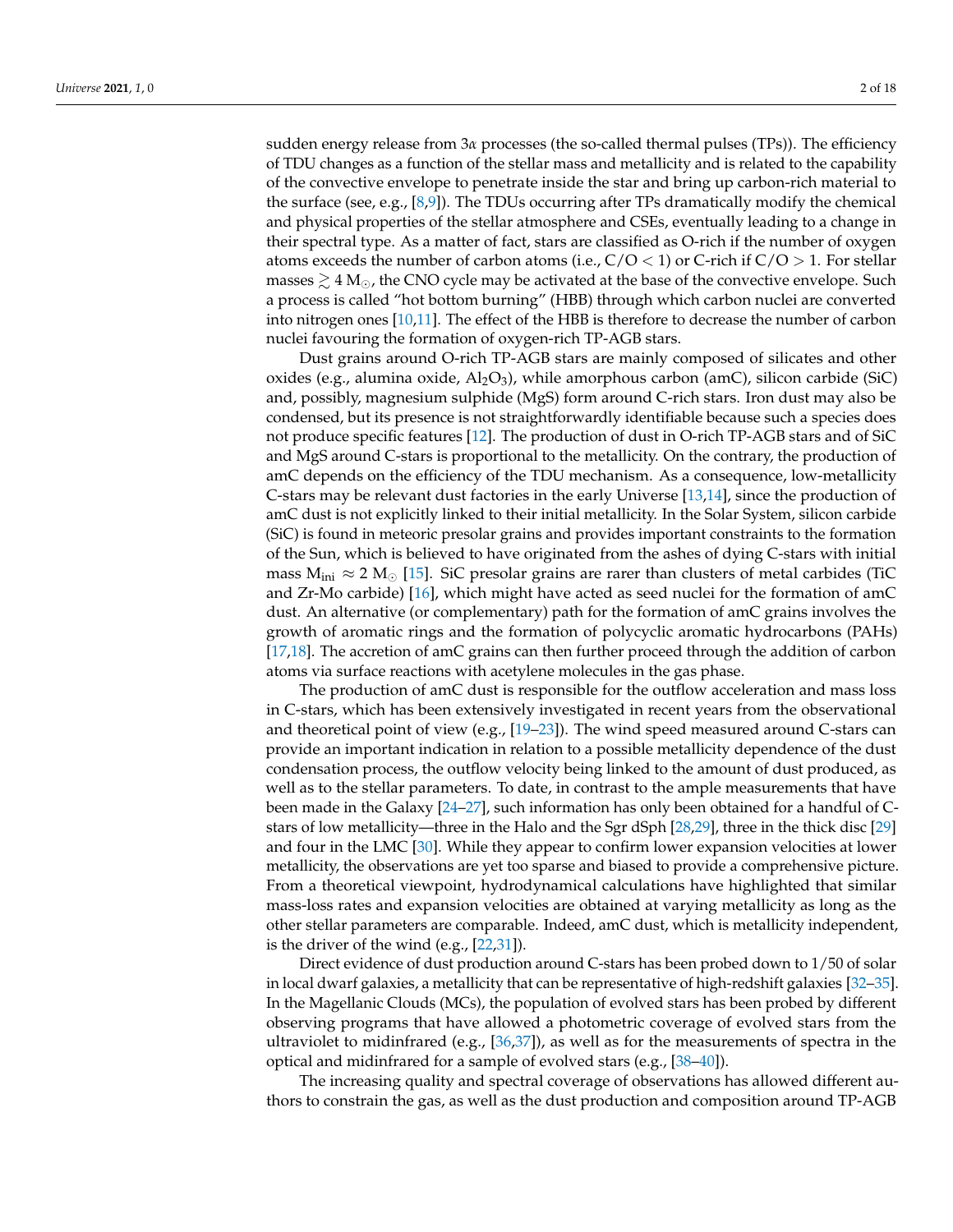sudden energy release from 3*α* processes (the so-called thermal pulses (TPs)). The efficiency of TDU changes as a function of the stellar mass and metallicity and is related to the capability of the convective envelope to penetrate inside the star and bring up carbon-rich material to the surface (see, e.g., [\[8,](#page-13-4)[9\]](#page-13-5)). The TDUs occurring after TPs dramatically modify the chemical and physical properties of the stellar atmosphere and CSEs, eventually leading to a change in their spectral type. As a matter of fact, stars are classified as O-rich if the number of oxygen atoms exceeds the number of carbon atoms (i.e.,  $C/O < 1$ ) or C-rich if  $C/O > 1$ . For stellar masses  $\gtrsim 4$  M<sub>o</sub>, the CNO cycle may be activated at the base of the convective envelope. Such a process is called "hot bottom burning" (HBB) through which carbon nuclei are converted into nitrogen ones [\[10](#page-13-6)[,11\]](#page-13-7). The effect of the HBB is therefore to decrease the number of carbon nuclei favouring the formation of oxygen-rich TP-AGB stars.

Dust grains around O-rich TP-AGB stars are mainly composed of silicates and other oxides (e.g., alumina oxide,  $\text{Al}_2\text{O}_3$ ), while amorphous carbon (amC), silicon carbide (SiC) and, possibly, magnesium sulphide (MgS) form around C-rich stars. Iron dust may also be condensed, but its presence is not straightforwardly identifiable because such a species does not produce specific features [\[12\]](#page-13-8). The production of dust in O-rich TP-AGB stars and of SiC and MgS around C-stars is proportional to the metallicity. On the contrary, the production of amC depends on the efficiency of the TDU mechanism. As a consequence, low-metallicity C-stars may be relevant dust factories in the early Universe [\[13,](#page-13-9)[14\]](#page-13-10), since the production of amC dust is not explicitly linked to their initial metallicity. In the Solar System, silicon carbide (SiC) is found in meteoric presolar grains and provides important constraints to the formation of the Sun, which is believed to have originated from the ashes of dying C-stars with initial mass  $M_{\text{ini}} \approx 2 \text{ M}_{\odot}$  [\[15\]](#page-13-11). SiC presolar grains are rarer than clusters of metal carbides (TiC and Zr-Mo carbide) [\[16\]](#page-13-12), which might have acted as seed nuclei for the formation of amC dust. An alternative (or complementary) path for the formation of amC grains involves the growth of aromatic rings and the formation of polycyclic aromatic hydrocarbons (PAHs) [\[17](#page-13-13)[,18\]](#page-13-14). The accretion of amC grains can then further proceed through the addition of carbon atoms via surface reactions with acetylene molecules in the gas phase.

The production of amC dust is responsible for the outflow acceleration and mass loss in C-stars, which has been extensively investigated in recent years from the observational and theoretical point of view (e.g., [\[19](#page-13-15)[–23\]](#page-13-16)). The wind speed measured around C-stars can provide an important indication in relation to a possible metallicity dependence of the dust condensation process, the outflow velocity being linked to the amount of dust produced, as well as to the stellar parameters. To date, in contrast to the ample measurements that have been made in the Galaxy [\[24](#page-14-0)[–27\]](#page-14-1), such information has only been obtained for a handful of Cstars of low metallicity—three in the Halo and the Sgr dSph [\[28](#page-14-2)[,29\]](#page-14-3), three in the thick disc [\[29\]](#page-14-3) and four in the LMC [\[30\]](#page-14-4). While they appear to confirm lower expansion velocities at lower metallicity, the observations are yet too sparse and biased to provide a comprehensive picture. From a theoretical viewpoint, hydrodynamical calculations have highlighted that similar mass-loss rates and expansion velocities are obtained at varying metallicity as long as the other stellar parameters are comparable. Indeed, amC dust, which is metallicity independent, is the driver of the wind (e.g., [\[22](#page-13-17)[,31\]](#page-14-5)).

Direct evidence of dust production around C-stars has been probed down to 1/50 of solar in local dwarf galaxies, a metallicity that can be representative of high-redshift galaxies [\[32–](#page-14-6)[35\]](#page-14-7). In the Magellanic Clouds (MCs), the population of evolved stars has been probed by different observing programs that have allowed a photometric coverage of evolved stars from the ultraviolet to midinfrared (e.g.,  $[36,37]$  $[36,37]$ ), as well as for the measurements of spectra in the optical and midinfrared for a sample of evolved stars  $(e.g., [38-40])$  $(e.g., [38-40])$  $(e.g., [38-40])$ .

The increasing quality and spectral coverage of observations has allowed different authors to constrain the gas, as well as the dust production and composition around TP-AGB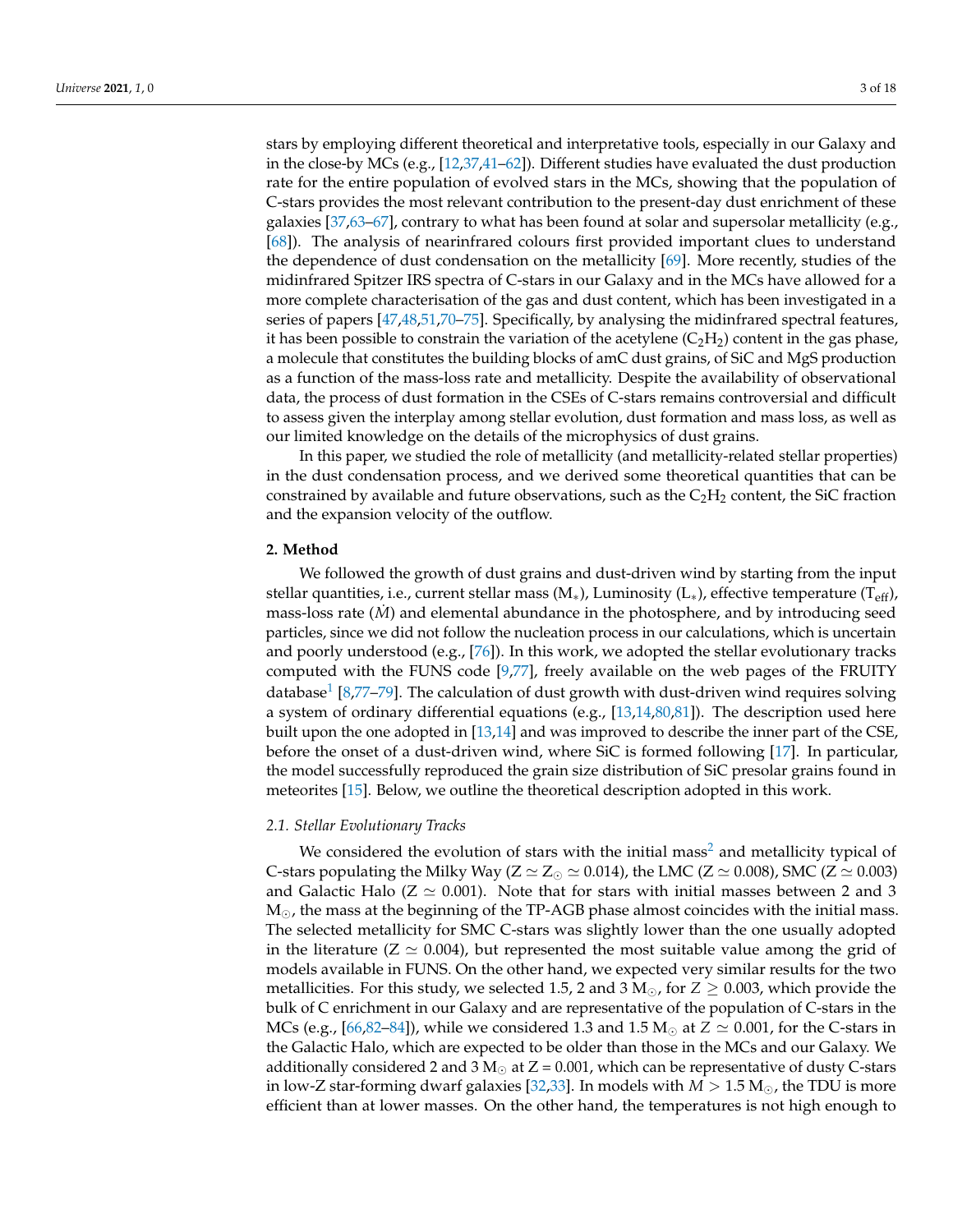stars by employing different theoretical and interpretative tools, especially in our Galaxy and in the close-by MCs (e.g., [\[12](#page-13-8)[,37](#page-14-9)[,41](#page-14-12)[–62\]](#page-15-0)). Different studies have evaluated the dust production rate for the entire population of evolved stars in the MCs, showing that the population of C-stars provides the most relevant contribution to the present-day dust enrichment of these galaxies [\[37](#page-14-9)[,63–](#page-15-1)[67\]](#page-16-0), contrary to what has been found at solar and supersolar metallicity (e.g., [\[68\]](#page-16-1)). The analysis of nearinfrared colours first provided important clues to understand the dependence of dust condensation on the metallicity [\[69\]](#page-16-2). More recently, studies of the midinfrared Spitzer IRS spectra of C-stars in our Galaxy and in the MCs have allowed for a more complete characterisation of the gas and dust content, which has been investigated in a series of papers [\[47,](#page-15-2)[48,](#page-15-3)[51,](#page-15-4)[70](#page-16-3)[–75\]](#page-16-4). Specifically, by analysing the midinfrared spectral features, it has been possible to constrain the variation of the acetylene  $(C_2H_2)$  content in the gas phase, a molecule that constitutes the building blocks of amC dust grains, of SiC and MgS production as a function of the mass-loss rate and metallicity. Despite the availability of observational data, the process of dust formation in the CSEs of C-stars remains controversial and difficult to assess given the interplay among stellar evolution, dust formation and mass loss, as well as our limited knowledge on the details of the microphysics of dust grains.

In this paper, we studied the role of metallicity (and metallicity-related stellar properties) in the dust condensation process, and we derived some theoretical quantities that can be constrained by available and future observations, such as the  $C_2H_2$  content, the SiC fraction and the expansion velocity of the outflow.

#### **2. Method**

<span id="page-2-1"></span>We followed the growth of dust grains and dust-driven wind by starting from the input stellar quantities, i.e., current stellar mass (M<sub>∗</sub>), Luminosity (L<sub>\*</sub>), effective temperature (T<sub>eff</sub>), mass-loss rate (*M*) and elemental abundance in the photosphere, and by introducing seed particles, since we did not follow the nucleation process in our calculations, which is uncertain and poorly understood (e.g., [\[76\]](#page-16-5)). In this work, we adopted the stellar evolutionary tracks computed with the FUNS code [\[9](#page-13-5)[,77\]](#page-16-6), freely available on the web pages of the FRUITY database $^1$  $^1$  [\[8](#page-13-4)[,77–](#page-16-6)[79\]](#page-16-7). The calculation of dust growth with dust-driven wind requires solving a system of ordinary differential equations (e.g.,  $[13,14,80,81]$  $[13,14,80,81]$  $[13,14,80,81]$  $[13,14,80,81]$ ). The description used here built upon the one adopted in [\[13,](#page-13-9)[14\]](#page-13-10) and was improved to describe the inner part of the CSE, before the onset of a dust-driven wind, where SiC is formed following [\[17\]](#page-13-13). In particular, the model successfully reproduced the grain size distribution of SiC presolar grains found in meteorites [\[15\]](#page-13-11). Below, we outline the theoretical description adopted in this work.

#### <span id="page-2-2"></span><span id="page-2-0"></span>*2.1. Stellar Evolutionary Tracks*

We considered the evolution of stars with the initial mass<sup>[2](#page-13-19)</sup> and metallicity typical of C-stars populating the Milky Way ( $Z \simeq Z_{\odot} \simeq 0.014$ ), the LMC ( $Z \simeq 0.008$ ), SMC ( $Z \simeq 0.003$ ) and Galactic Halo ( $Z \simeq 0.001$ ). Note that for stars with initial masses between 2 and 3  $M_{\odot}$ , the mass at the beginning of the TP-AGB phase almost coincides with the initial mass. The selected metallicity for SMC C-stars was slightly lower than the one usually adopted in the literature ( $Z \simeq 0.004$ ), but represented the most suitable value among the grid of models available in FUNS. On the other hand, we expected very similar results for the two metallicities. For this study, we selected 1.5, 2 and 3  $M_{\odot}$ , for  $Z \geq 0.003$ , which provide the bulk of C enrichment in our Galaxy and are representative of the population of C-stars in the MCs (e.g., [\[66](#page-16-10)[,82](#page-16-11)[–84\]](#page-16-12)), while we considered 1.3 and 1.5 M<sub>o</sub> at  $Z \simeq 0.001$ , for the C-stars in the Galactic Halo, which are expected to be older than those in the MCs and our Galaxy. We additionally considered 2 and 3  $M_{\odot}$  at Z = 0.001, which can be representative of dusty C-stars in low-Z star-forming dwarf galaxies [\[32,](#page-14-6)[33\]](#page-14-13). In models with  $M > 1.5$  M<sub>O</sub>, the TDU is more efficient than at lower masses. On the other hand, the temperatures is not high enough to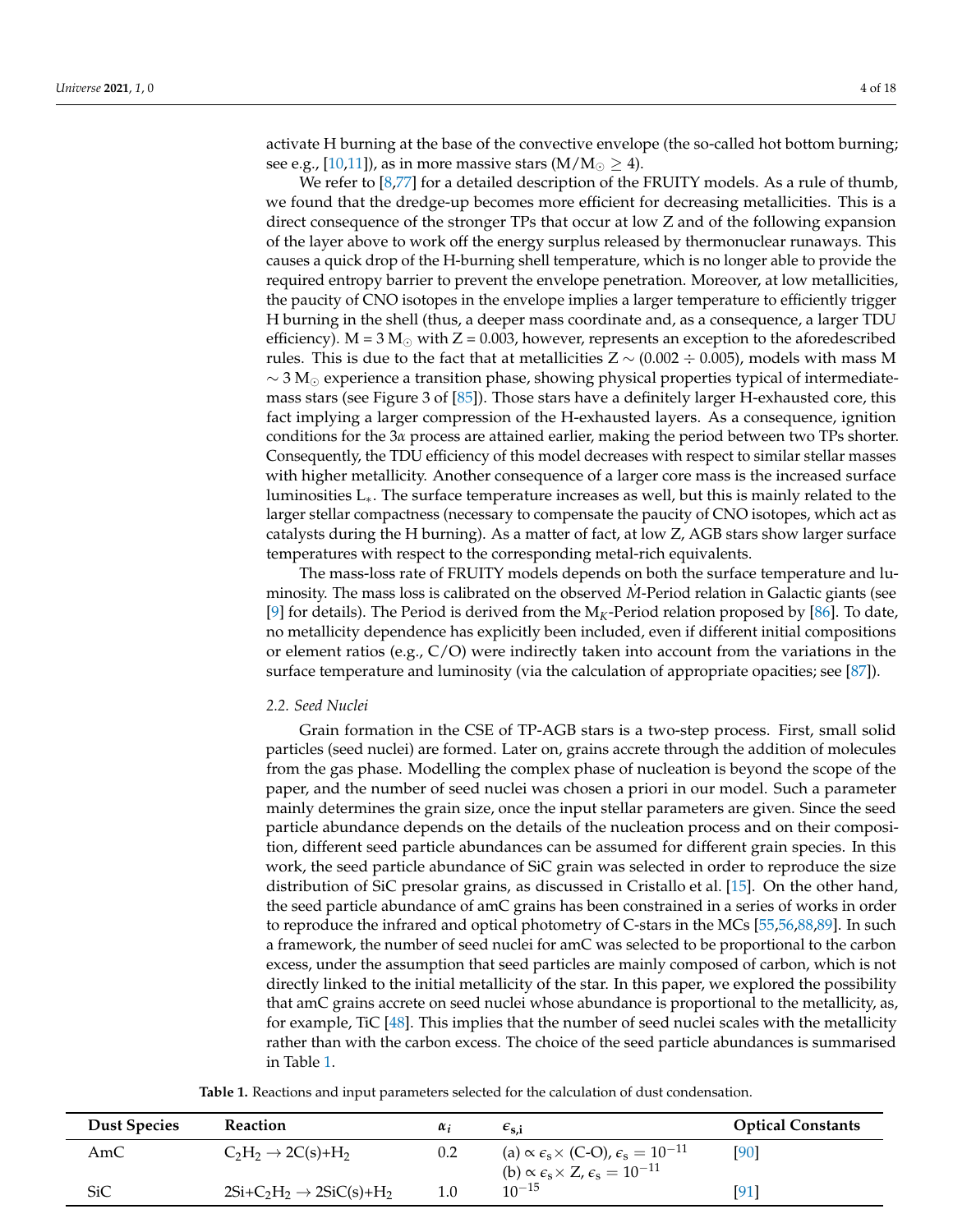activate H burning at the base of the convective envelope (the so-called hot bottom burning; see e.g., [\[10](#page-13-6)[,11\]](#page-13-7)), as in more massive stars  $(M/M_{\odot} \geq 4)$ .

We refer to [\[8,](#page-13-4)[77\]](#page-16-6) for a detailed description of the FRUITY models. As a rule of thumb, we found that the dredge-up becomes more efficient for decreasing metallicities. This is a direct consequence of the stronger TPs that occur at low Z and of the following expansion of the layer above to work off the energy surplus released by thermonuclear runaways. This causes a quick drop of the H-burning shell temperature, which is no longer able to provide the required entropy barrier to prevent the envelope penetration. Moreover, at low metallicities, the paucity of CNO isotopes in the envelope implies a larger temperature to efficiently trigger H burning in the shell (thus, a deeper mass coordinate and, as a consequence, a larger TDU efficiency).  $M = 3 M_{\odot}$  with  $Z = 0.003$ , however, represents an exception to the aforedescribed rules. This is due to the fact that at metallicities  $Z \sim (0.002 \div 0.005)$ , models with mass M  $\sim$  3 M<sub>☉</sub> experience a transition phase, showing physical properties typical of intermediatemass stars (see Figure 3 of [\[85\]](#page-16-13)). Those stars have a definitely larger H-exhausted core, this fact implying a larger compression of the H-exhausted layers. As a consequence, ignition conditions for the 3*α* process are attained earlier, making the period between two TPs shorter. Consequently, the TDU efficiency of this model decreases with respect to similar stellar masses with higher metallicity. Another consequence of a larger core mass is the increased surface luminosities L∗. The surface temperature increases as well, but this is mainly related to the larger stellar compactness (necessary to compensate the paucity of CNO isotopes, which act as catalysts during the H burning). As a matter of fact, at low Z, AGB stars show larger surface temperatures with respect to the corresponding metal-rich equivalents.

The mass-loss rate of FRUITY models depends on both the surface temperature and luminosity. The mass loss is calibrated on the observed *M*-Period relation in Galactic giants (see [\[9\]](#page-13-5) for details). The Period is derived from the  $M_K$ -Period relation proposed by [\[86\]](#page-16-14). To date, no metallicity dependence has explicitly been included, even if different initial compositions or element ratios (e.g.,  $C/O$ ) were indirectly taken into account from the variations in the surface temperature and luminosity (via the calculation of appropriate opacities; see [\[87\]](#page-16-15)).

#### *2.2. Seed Nuclei*

Grain formation in the CSE of TP-AGB stars is a two-step process. First, small solid particles (seed nuclei) are formed. Later on, grains accrete through the addition of molecules from the gas phase. Modelling the complex phase of nucleation is beyond the scope of the paper, and the number of seed nuclei was chosen a priori in our model. Such a parameter mainly determines the grain size, once the input stellar parameters are given. Since the seed particle abundance depends on the details of the nucleation process and on their composition, different seed particle abundances can be assumed for different grain species. In this work, the seed particle abundance of SiC grain was selected in order to reproduce the size distribution of SiC presolar grains, as discussed in Cristallo et al. [\[15\]](#page-13-11). On the other hand, the seed particle abundance of amC grains has been constrained in a series of works in order to reproduce the infrared and optical photometry of C-stars in the MCs [\[55](#page-15-5)[,56](#page-15-6)[,88,](#page-17-0)[89\]](#page-17-1). In such a framework, the number of seed nuclei for amC was selected to be proportional to the carbon excess, under the assumption that seed particles are mainly composed of carbon, which is not directly linked to the initial metallicity of the star. In this paper, we explored the possibility that amC grains accrete on seed nuclei whose abundance is proportional to the metallicity, as, for example, TiC [\[48\]](#page-15-3). This implies that the number of seed nuclei scales with the metallicity rather than with the carbon excess. The choice of the seed particle abundances is summarised in Table [1.](#page-3-0)

<span id="page-3-0"></span>

| <b>Dust Species</b> | <b>Reaction</b>                      | $\alpha_i$ | $\epsilon_{\rm s.i}$                                                                  | <b>Optical Constants</b> |
|---------------------|--------------------------------------|------------|---------------------------------------------------------------------------------------|--------------------------|
| AmC                 | $C_2H_2 \rightarrow 2C(s)+H_2$       | 0.2        | (a) $\propto \epsilon_{\rm s} \times$ (C-O), $\epsilon_{\rm s} = 10^{-11}$            | [90]                     |
|                     |                                      |            | (b) $\propto \epsilon_{\rm s} \times Z$ , $\epsilon_{\rm s} = 10^{-11}$<br>$10^{-15}$ |                          |
| <b>SiC</b>          | $2Si+C_2H_2 \rightarrow 2SiC(s)+H_2$ | $1.0\,$    |                                                                                       | [91]                     |

**Table 1.** Reactions and input parameters selected for the calculation of dust condensation.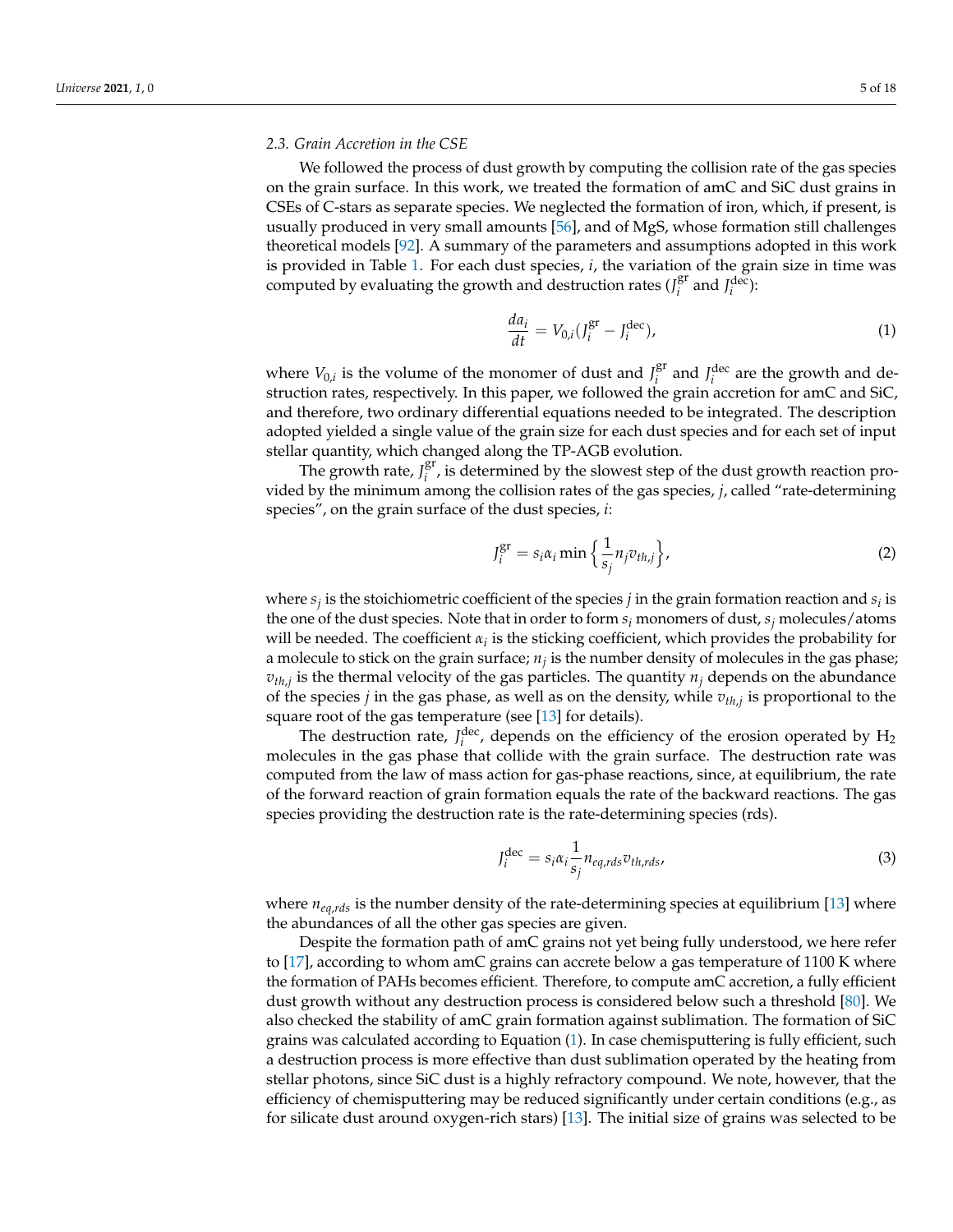## *2.3. Grain Accretion in the CSE*

We followed the process of dust growth by computing the collision rate of the gas species on the grain surface. In this work, we treated the formation of amC and SiC dust grains in CSEs of C-stars as separate species. We neglected the formation of iron, which, if present, is usually produced in very small amounts [\[56\]](#page-15-6), and of MgS, whose formation still challenges theoretical models [\[92\]](#page-17-4). A summary of the parameters and assumptions adopted in this work is provided in Table [1.](#page-3-0) For each dust species, *i*, the variation of the grain size in time was computed by evaluating the growth and destruction rates  $(J_i^{\text{gr}})$  $i$ <sup>gr</sup> and  $J_i^{\text{dec}}$ ):

<span id="page-4-0"></span>
$$
\frac{da_i}{dt} = V_{0,i}(J_i^{\text{gr}} - J_i^{\text{dec}}),\tag{1}
$$

where  $V_{0,i}$  is the volume of the monomer of dust and  $J_i^{\text{gr}}$  $i$ <sup>er</sup> and  $J_i$ <sup>dec</sup> are the growth and destruction rates, respectively. In this paper, we followed the grain accretion for amC and SiC, and therefore, two ordinary differential equations needed to be integrated. The description adopted yielded a single value of the grain size for each dust species and for each set of input stellar quantity, which changed along the TP-AGB evolution.

The growth rate,  $J_i^{\text{gr}}$  $i<sup>i</sup>$ , is determined by the slowest step of the dust growth reaction provided by the minimum among the collision rates of the gas species, *j*, called "rate-determining species", on the grain surface of the dust species, *i*:

$$
J_i^{\text{gr}} = s_i \alpha_i \min \left\{ \frac{1}{s_j} n_j v_{th,j} \right\},\tag{2}
$$

where  $s_j$  is the stoichiometric coefficient of the species  $j$  in the grain formation reaction and  $s_i$  is the one of the dust species. Note that in order to form *s<sup>i</sup>* monomers of dust, *s<sup>j</sup>* molecules/atoms will be needed. The coefficient  $\alpha_i$  is the sticking coefficient, which provides the probability for a molecule to stick on the grain surface; *n<sup>j</sup>* is the number density of molecules in the gas phase;  $v_{th,j}$  is the thermal velocity of the gas particles. The quantity  $n_j$  depends on the abundance of the species *j* in the gas phase, as well as on the density, while *vth*,*<sup>j</sup>* is proportional to the square root of the gas temperature (see [\[13\]](#page-13-9) for details).

The destruction rate,  $J_i^{\text{dec}}$ , depends on the efficiency of the erosion operated by  $H_2$ molecules in the gas phase that collide with the grain surface. The destruction rate was computed from the law of mass action for gas-phase reactions, since, at equilibrium, the rate of the forward reaction of grain formation equals the rate of the backward reactions. The gas species providing the destruction rate is the rate-determining species (rds).

$$
J_i^{\text{dec}} = s_i \alpha_i \frac{1}{s_j} n_{eq, rds} v_{th, rds},
$$
\n(3)

where  $n_{eq, rds}$  is the number density of the rate-determining species at equilibrium [\[13\]](#page-13-9) where the abundances of all the other gas species are given.

Despite the formation path of amC grains not yet being fully understood, we here refer to [\[17\]](#page-13-13), according to whom amC grains can accrete below a gas temperature of 1100 K where the formation of PAHs becomes efficient. Therefore, to compute amC accretion, a fully efficient dust growth without any destruction process is considered below such a threshold [\[80\]](#page-16-8). We also checked the stability of amC grain formation against sublimation. The formation of SiC grains was calculated according to Equation [\(1\)](#page-4-0). In case chemisputtering is fully efficient, such a destruction process is more effective than dust sublimation operated by the heating from stellar photons, since SiC dust is a highly refractory compound. We note, however, that the efficiency of chemisputtering may be reduced significantly under certain conditions (e.g., as for silicate dust around oxygen-rich stars) [\[13\]](#page-13-9). The initial size of grains was selected to be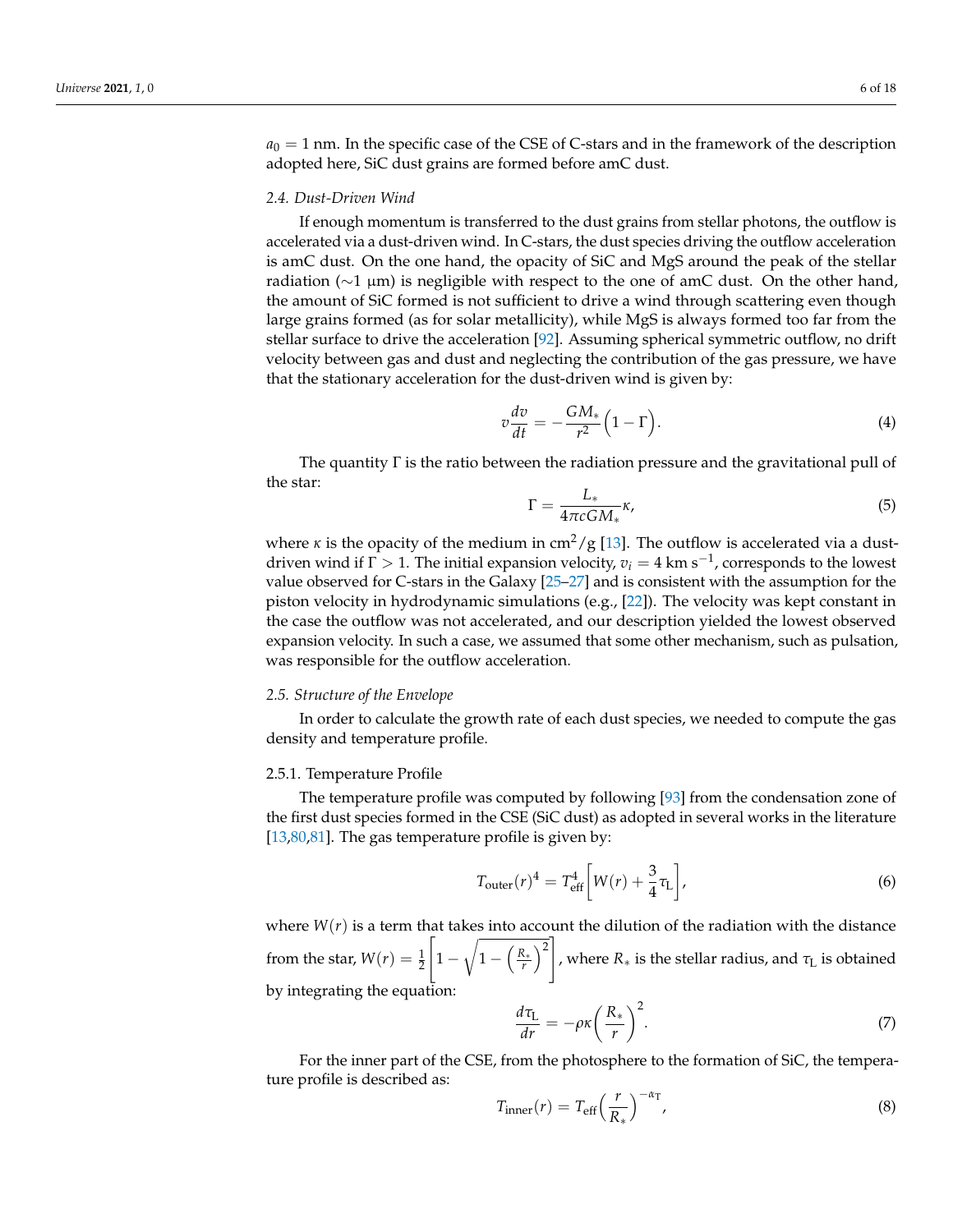$a_0 = 1$  nm. In the specific case of the CSE of C-stars and in the framework of the description adopted here, SiC dust grains are formed before amC dust.

#### *2.4. Dust-Driven Wind*

If enough momentum is transferred to the dust grains from stellar photons, the outflow is accelerated via a dust-driven wind. In C-stars, the dust species driving the outflow acceleration is amC dust. On the one hand, the opacity of SiC and MgS around the peak of the stellar radiation ( $\sim$ 1 μm) is negligible with respect to the one of amC dust. On the other hand, the amount of SiC formed is not sufficient to drive a wind through scattering even though large grains formed (as for solar metallicity), while MgS is always formed too far from the stellar surface to drive the acceleration [\[92\]](#page-17-4). Assuming spherical symmetric outflow, no drift velocity between gas and dust and neglecting the contribution of the gas pressure, we have that the stationary acceleration for the dust-driven wind is given by:

<span id="page-5-3"></span>
$$
v\frac{dv}{dt} = -\frac{GM_*}{r^2}\Big(1-\Gamma\Big). \tag{4}
$$

The quantity  $\Gamma$  is the ratio between the radiation pressure and the gravitational pull of the star:

$$
\Gamma = \frac{L_*}{4\pi cGM_*} \kappa,\tag{5}
$$

where *κ* is the opacity of the medium in cm<sup>2</sup>/g [\[13\]](#page-13-9). The outflow is accelerated via a dustdriven wind if  $\Gamma > 1$ . The initial expansion velocity,  $v_i = 4$  km s<sup>-1</sup>, corresponds to the lowest value observed for C-stars in the Galaxy [\[25–](#page-14-14)[27\]](#page-14-1) and is consistent with the assumption for the piston velocity in hydrodynamic simulations (e.g., [\[22\]](#page-13-17)). The velocity was kept constant in the case the outflow was not accelerated, and our description yielded the lowest observed expansion velocity. In such a case, we assumed that some other mechanism, such as pulsation, was responsible for the outflow acceleration.

#### *2.5. Structure of the Envelope*

In order to calculate the growth rate of each dust species, we needed to compute the gas density and temperature profile.

#### <span id="page-5-0"></span>2.5.1. Temperature Profile

The temperature profile was computed by following [\[93\]](#page-17-5) from the condensation zone of the first dust species formed in the CSE (SiC dust) as adopted in several works in the literature [\[13](#page-13-9)[,80](#page-16-8)[,81\]](#page-16-9). The gas temperature profile is given by:

<span id="page-5-1"></span>
$$
T_{\text{outer}}(r)^4 = T_{\text{eff}}^4 \left[ W(r) + \frac{3}{4} \tau_{\text{L}} \right],\tag{6}
$$

where  $W(r)$  is a term that takes into account the dilution of the radiation with the distance from the star,  $W(r) = \frac{1}{2}$  $\sqrt{ }$  $1 - \sqrt{1 - \left(\frac{R_*}{r}\right)^2}$ , where *R*<sup>∗</sup> is the stellar radius, and *τ*<sup>L</sup> is obtained by integrating the equation:

$$
\frac{d\tau_{\rm L}}{dr} = -\rho \kappa \left(\frac{R_*}{r}\right)^2. \tag{7}
$$

For the inner part of the CSE, from the photosphere to the formation of SiC, the temperature profile is described as:

<span id="page-5-2"></span>
$$
T_{\text{inner}}(r) = T_{\text{eff}} \left(\frac{r}{R_*}\right)^{-\alpha_{\text{T}}},\tag{8}
$$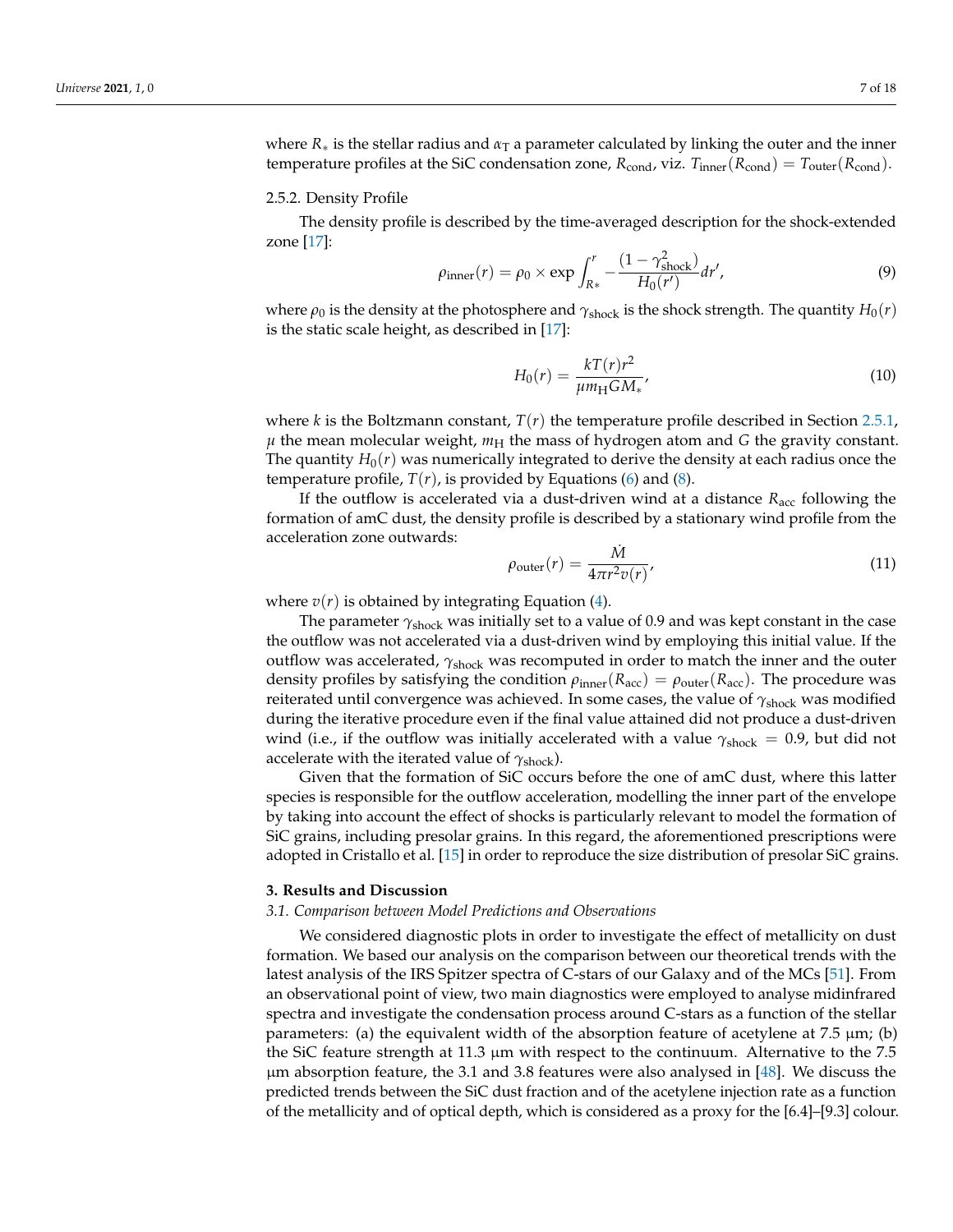where  $R_*$  is the stellar radius and  $\alpha_T$  a parameter calculated by linking the outer and the inner temperature profiles at the SiC condensation zone,  $R_{\text{cond}}$ , viz.  $T_{\text{inner}}(R_{\text{cond}}) = T_{\text{outer}}(R_{\text{cond}})$ .

#### 2.5.2. Density Profile

The density profile is described by the time-averaged description for the shock-extended zone [\[17\]](#page-13-13):

$$
\rho_{\text{inner}}(r) = \rho_0 \times \exp \int_{R*}^r -\frac{(1 - \gamma_{\text{shock}}^2)}{H_0(r')} dr', \tag{9}
$$

where  $\rho_0$  is the density at the photosphere and  $\gamma_{\text{shock}}$  is the shock strength. The quantity  $H_0(r)$ is the static scale height, as described in [\[17\]](#page-13-13):

$$
H_0(r) = \frac{kT(r)r^2}{\mu m_\text{H}GM_*},\tag{10}
$$

where *k* is the Boltzmann constant, *T*(*r*) the temperature profile described in Section [2.5.1,](#page-5-0)  $\mu$  the mean molecular weight,  $m_H$  the mass of hydrogen atom and *G* the gravity constant. The quantity  $H_0(r)$  was numerically integrated to derive the density at each radius once the temperature profile,  $T(r)$ , is provided by Equations [\(6\)](#page-5-1) and [\(8\)](#page-5-2).

If the outflow is accelerated via a dust-driven wind at a distance  $R_{\text{acc}}$  following the formation of amC dust, the density profile is described by a stationary wind profile from the acceleration zone outwards:

$$
\rho_{\text{outer}}(r) = \frac{\dot{M}}{4\pi r^2 v(r)},\tag{11}
$$

where  $v(r)$  is obtained by integrating Equation  $(4)$ .

The parameter *γ*shock was initially set to a value of 0.9 and was kept constant in the case the outflow was not accelerated via a dust-driven wind by employing this initial value. If the outflow was accelerated,  $\gamma_{\text{shock}}$  was recomputed in order to match the inner and the outer density profiles by satisfying the condition  $\rho_{inner}(R_{acc}) = \rho_{outer}(R_{acc})$ . The procedure was reiterated until convergence was achieved. In some cases, the value of γ<sub>shock</sub> was modified during the iterative procedure even if the final value attained did not produce a dust-driven wind (i.e., if the outflow was initially accelerated with a value  $\gamma_{\text{shock}} = 0.9$ , but did not accelerate with the iterated value of  $\gamma_{\text{shock}}$ ).

Given that the formation of SiC occurs before the one of amC dust, where this latter species is responsible for the outflow acceleration, modelling the inner part of the envelope by taking into account the effect of shocks is particularly relevant to model the formation of SiC grains, including presolar grains. In this regard, the aforementioned prescriptions were adopted in Cristallo et al. [\[15\]](#page-13-11) in order to reproduce the size distribution of presolar SiC grains.

## **3. Results and Discussion**

#### *3.1. Comparison between Model Predictions and Observations*

We considered diagnostic plots in order to investigate the effect of metallicity on dust formation. We based our analysis on the comparison between our theoretical trends with the latest analysis of the IRS Spitzer spectra of C-stars of our Galaxy and of the MCs [\[51\]](#page-15-4). From an observational point of view, two main diagnostics were employed to analyse midinfrared spectra and investigate the condensation process around C-stars as a function of the stellar parameters: (a) the equivalent width of the absorption feature of acetylene at 7.5 µm; (b) the SiC feature strength at 11.3 µm with respect to the continuum. Alternative to the 7.5 µm absorption feature, the 3.1 and 3.8 features were also analysed in [\[48\]](#page-15-3). We discuss the predicted trends between the SiC dust fraction and of the acetylene injection rate as a function of the metallicity and of optical depth, which is considered as a proxy for the [6.4]–[9.3] colour.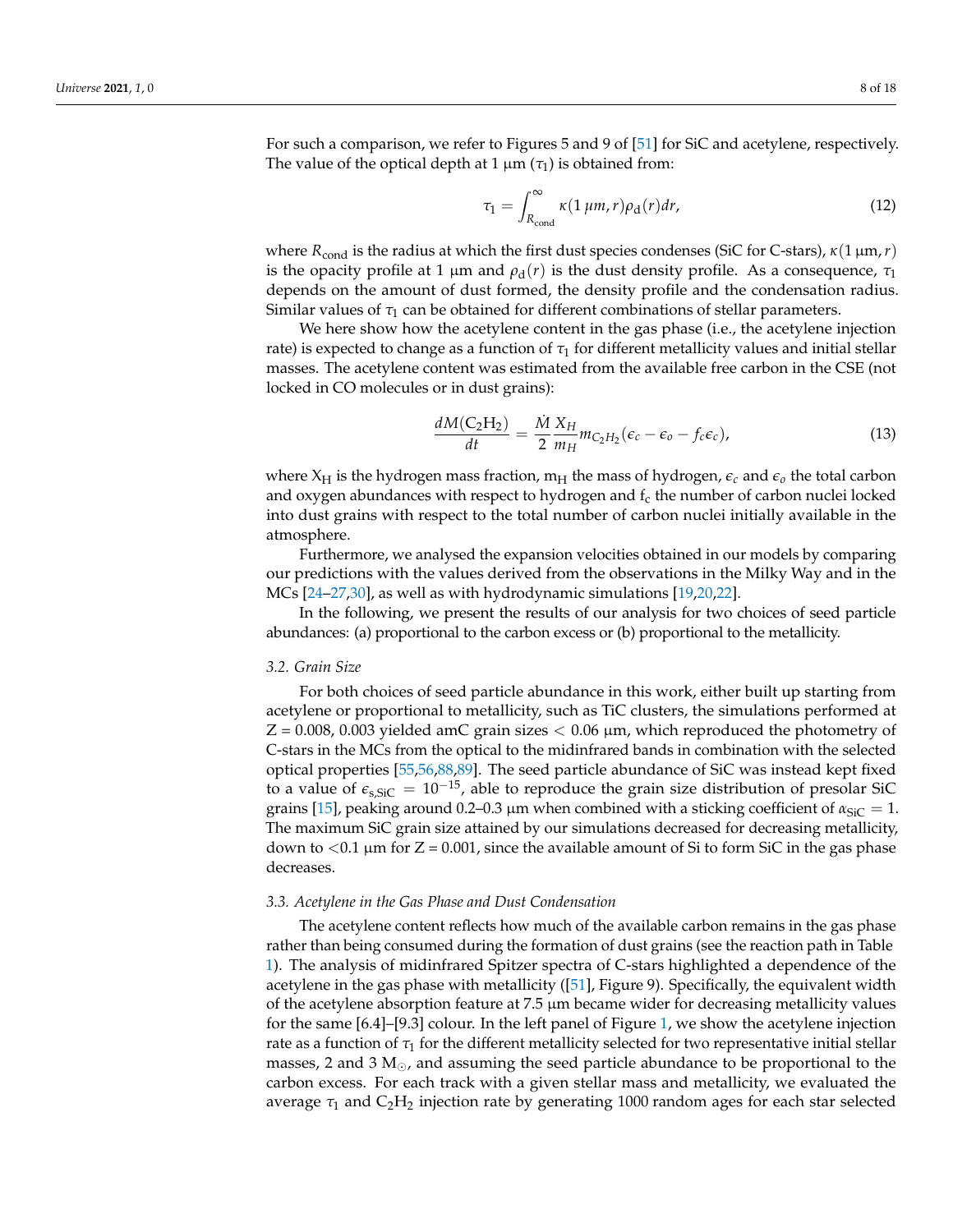For such a comparison, we refer to Figures 5 and 9 of [\[51\]](#page-15-4) for SiC and acetylene, respectively. The value of the optical depth at 1  $\mu$ m ( $\tau$ <sub>1</sub>) is obtained from:

<span id="page-7-0"></span>
$$
\tau_1 = \int_{R_{\text{cond}}}^{\infty} \kappa(1 \,\mu m, r) \rho_{\text{d}}(r) dr, \tag{12}
$$

where *R*cond is the radius at which the first dust species condenses (SiC for C-stars), *κ*(1 µm,*r*) is the opacity profile at 1 μm and  $ρ_d(r)$  is the dust density profile. As a consequence,  $τ_1$ depends on the amount of dust formed, the density profile and the condensation radius. Similar values of *τ*<sup>1</sup> can be obtained for different combinations of stellar parameters.

We here show how the acetylene content in the gas phase (i.e., the acetylene injection rate) is expected to change as a function of  $\tau_1$  for different metallicity values and initial stellar masses. The acetylene content was estimated from the available free carbon in the CSE (not locked in CO molecules or in dust grains):

$$
\frac{dM(C_2H_2)}{dt} = \frac{\dot{M}}{2} \frac{X_H}{m_H} m_{C_2H_2} (\epsilon_c - \epsilon_o - f_c \epsilon_c),
$$
\n(13)

where  $X_H$  is the hydrogen mass fraction,  $m_H$  the mass of hydrogen,  $\epsilon_c$  and  $\epsilon_o$  the total carbon and oxygen abundances with respect to hydrogen and  $f_c$  the number of carbon nuclei locked into dust grains with respect to the total number of carbon nuclei initially available in the atmosphere.

Furthermore, we analysed the expansion velocities obtained in our models by comparing our predictions with the values derived from the observations in the Milky Way and in the MCs [\[24–](#page-14-0)[27,](#page-14-1)[30\]](#page-14-4), as well as with hydrodynamic simulations [\[19,](#page-13-15)[20,](#page-13-20)[22\]](#page-13-17).

In the following, we present the results of our analysis for two choices of seed particle abundances: (a) proportional to the carbon excess or (b) proportional to the metallicity.

#### *3.2. Grain Size*

For both choices of seed particle abundance in this work, either built up starting from acetylene or proportional to metallicity, such as TiC clusters, the simulations performed at  $Z = 0.008$ , 0.003 yielded amC grain sizes  $< 0.06$   $\mu$ m, which reproduced the photometry of C-stars in the MCs from the optical to the midinfrared bands in combination with the selected optical properties [\[55](#page-15-5)[,56](#page-15-6)[,88](#page-17-0)[,89\]](#page-17-1). The seed particle abundance of SiC was instead kept fixed to a value of  $\epsilon_{s,SiC} = 10^{-15}$ , able to reproduce the grain size distribution of presolar SiC grains [\[15\]](#page-13-11), peaking around 0.2–0.3 µm when combined with a sticking coefficient of  $\alpha_{\text{SiC}} = 1$ . The maximum SiC grain size attained by our simulations decreased for decreasing metallicity, down to  $\langle 0.1 \mu m$  for  $Z = 0.001$ , since the available amount of Si to form SiC in the gas phase decreases.

#### *3.3. Acetylene in the Gas Phase and Dust Condensation*

The acetylene content reflects how much of the available carbon remains in the gas phase rather than being consumed during the formation of dust grains (see the reaction path in Table [1\)](#page-3-0). The analysis of midinfrared Spitzer spectra of C-stars highlighted a dependence of the acetylene in the gas phase with metallicity ([\[51\]](#page-15-4), Figure 9). Specifically, the equivalent width of the acetylene absorption feature at 7.5 µm became wider for decreasing metallicity values for the same [6.4]–[9.3] colour. In the left panel of Figure [1,](#page-8-0) we show the acetylene injection rate as a function of  $\tau_1$  for the different metallicity selected for two representative initial stellar masses, 2 and 3  $M_{\odot}$ , and assuming the seed particle abundance to be proportional to the carbon excess. For each track with a given stellar mass and metallicity, we evaluated the average *τ*<sup>1</sup> and C2H<sup>2</sup> injection rate by generating 1000 random ages for each star selected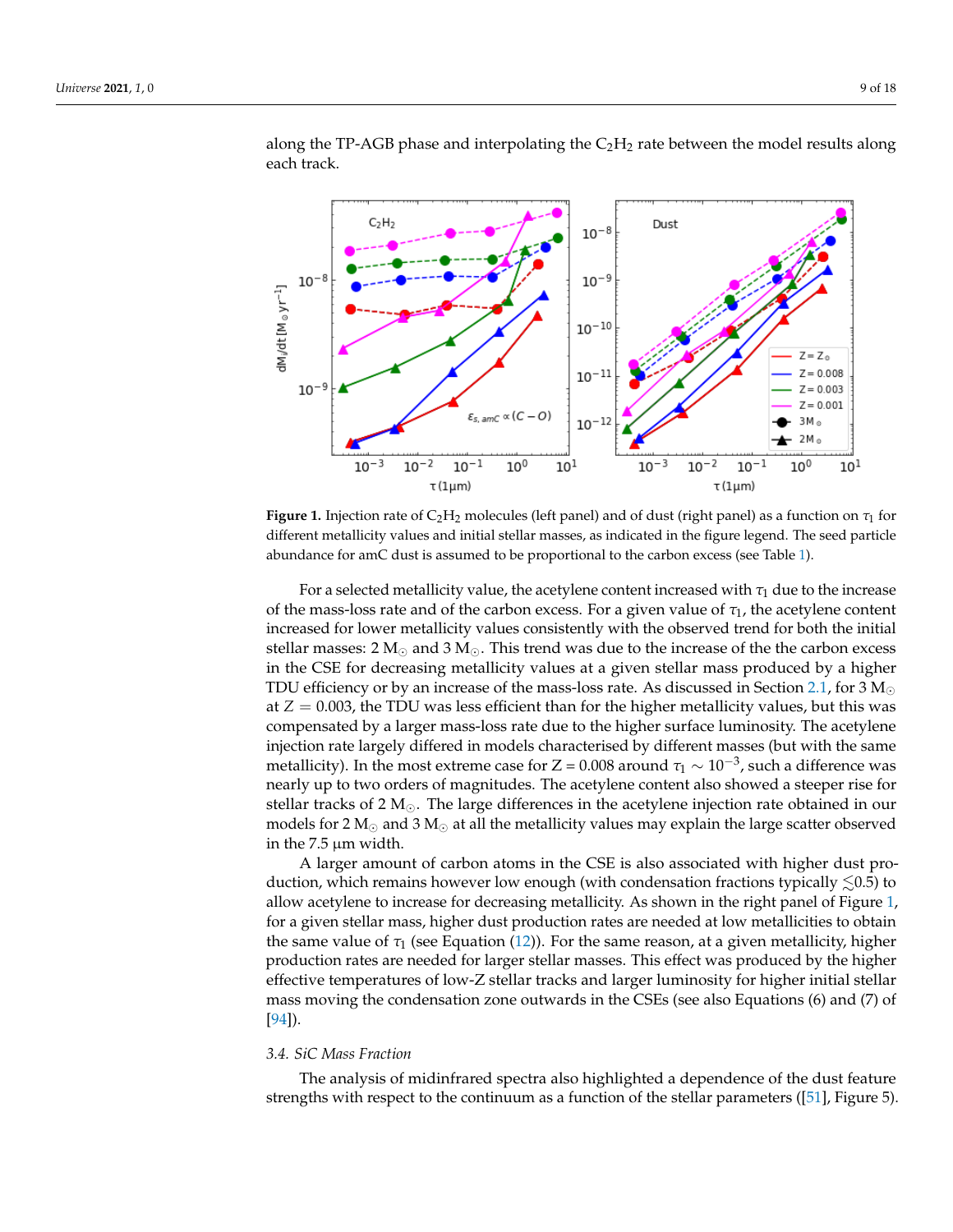<span id="page-8-0"></span>

along the TP-AGB phase and interpolating the  $C_2H_2$  rate between the model results along each track.

**Figure 1.** Injection rate of  $C_2H_2$  molecules (left panel) and of dust (right panel) as a function on  $\tau_1$  for different metallicity values and initial stellar masses, as indicated in the figure legend. The seed particle abundance for amC dust is assumed to be proportional to the carbon excess (see Table [1\)](#page-3-0).

For a selected metallicity value, the acetylene content increased with  $\tau_1$  due to the increase of the mass-loss rate and of the carbon excess. For a given value of *τ*1, the acetylene content increased for lower metallicity values consistently with the observed trend for both the initial stellar masses: 2  $M_{\odot}$  and 3  $M_{\odot}$ . This trend was due to the increase of the the carbon excess in the CSE for decreasing metallicity values at a given stellar mass produced by a higher TDU efficiency or by an increase of the mass-loss rate. As discussed in Section [2.1,](#page-2-0) for 3  $\rm M_{\odot}$ at  $Z = 0.003$ , the TDU was less efficient than for the higher metallicity values, but this was compensated by a larger mass-loss rate due to the higher surface luminosity. The acetylene injection rate largely differed in models characterised by different masses (but with the same metallicity). In the most extreme case for Z = 0.008 around  $\tau_1 \sim 10^{-3}$ , such a difference was nearly up to two orders of magnitudes. The acetylene content also showed a steeper rise for stellar tracks of 2  $M_{\odot}$ . The large differences in the acetylene injection rate obtained in our models for 2  $M_{\odot}$  and 3  $M_{\odot}$  at all the metallicity values may explain the large scatter observed in the 7.5 µm width.

A larger amount of carbon atoms in the CSE is also associated with higher dust production, which remains however low enough (with condensation fractions typically  $\leq 0.5$ ) to allow acetylene to increase for decreasing metallicity. As shown in the right panel of Figure [1,](#page-8-0) for a given stellar mass, higher dust production rates are needed at low metallicities to obtain the same value of  $\tau_1$  (see Equation [\(12\)](#page-7-0)). For the same reason, at a given metallicity, higher production rates are needed for larger stellar masses. This effect was produced by the higher effective temperatures of low-Z stellar tracks and larger luminosity for higher initial stellar mass moving the condensation zone outwards in the CSEs (see also Equations (6) and (7) of [\[94\]](#page-17-6)).

#### *3.4. SiC Mass Fraction*

The analysis of midinfrared spectra also highlighted a dependence of the dust feature strengths with respect to the continuum as a function of the stellar parameters ([\[51\]](#page-15-4), Figure 5).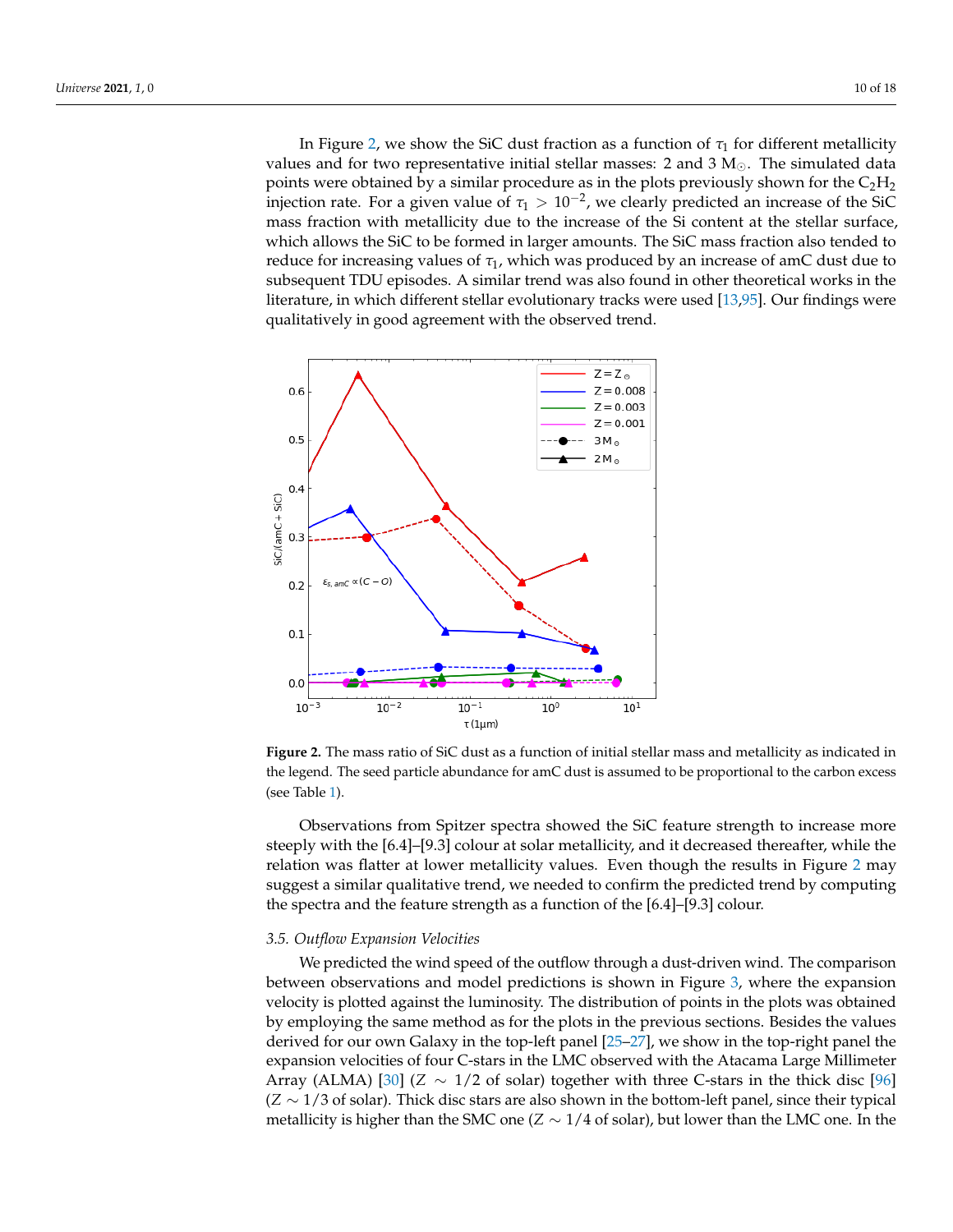In Figure [2,](#page-9-0) we show the SiC dust fraction as a function of  $\tau_1$  for different metallicity values and for two representative initial stellar masses: 2 and 3  $M_{\odot}$ . The simulated data points were obtained by a similar procedure as in the plots previously shown for the  $C_2H_2$ injection rate. For a given value of  $\tau_1 > 10^{-2}$ , we clearly predicted an increase of the SiC mass fraction with metallicity due to the increase of the Si content at the stellar surface, which allows the SiC to be formed in larger amounts. The SiC mass fraction also tended to reduce for increasing values of *τ*1, which was produced by an increase of amC dust due to subsequent TDU episodes. A similar trend was also found in other theoretical works in the literature, in which different stellar evolutionary tracks were used [\[13](#page-13-9)[,95\]](#page-17-7). Our findings were qualitatively in good agreement with the observed trend.

<span id="page-9-0"></span>

**Figure 2.** The mass ratio of SiC dust as a function of initial stellar mass and metallicity as indicated in the legend. The seed particle abundance for amC dust is assumed to be proportional to the carbon excess (see Table [1\)](#page-3-0).

Observations from Spitzer spectra showed the SiC feature strength to increase more steeply with the [6.4]–[9.3] colour at solar metallicity, and it decreased thereafter, while the relation was flatter at lower metallicity values. Even though the results in Figure [2](#page-9-0) may suggest a similar qualitative trend, we needed to confirm the predicted trend by computing the spectra and the feature strength as a function of the [6.4]–[9.3] colour.

#### *3.5. Outflow Expansion Velocities*

We predicted the wind speed of the outflow through a dust-driven wind. The comparison between observations and model predictions is shown in Figure [3,](#page-10-0) where the expansion velocity is plotted against the luminosity. The distribution of points in the plots was obtained by employing the same method as for the plots in the previous sections. Besides the values derived for our own Galaxy in the top-left panel [\[25–](#page-14-14)[27\]](#page-14-1), we show in the top-right panel the expansion velocities of four C-stars in the LMC observed with the Atacama Large Millimeter Array (ALMA) [\[30\]](#page-14-4) (*Z* ∼ 1/2 of solar) together with three C-stars in the thick disc [\[96\]](#page-17-8) (*Z* ∼ 1/3 of solar). Thick disc stars are also shown in the bottom-left panel, since their typical metallicity is higher than the SMC one ( $Z \sim 1/4$  of solar), but lower than the LMC one. In the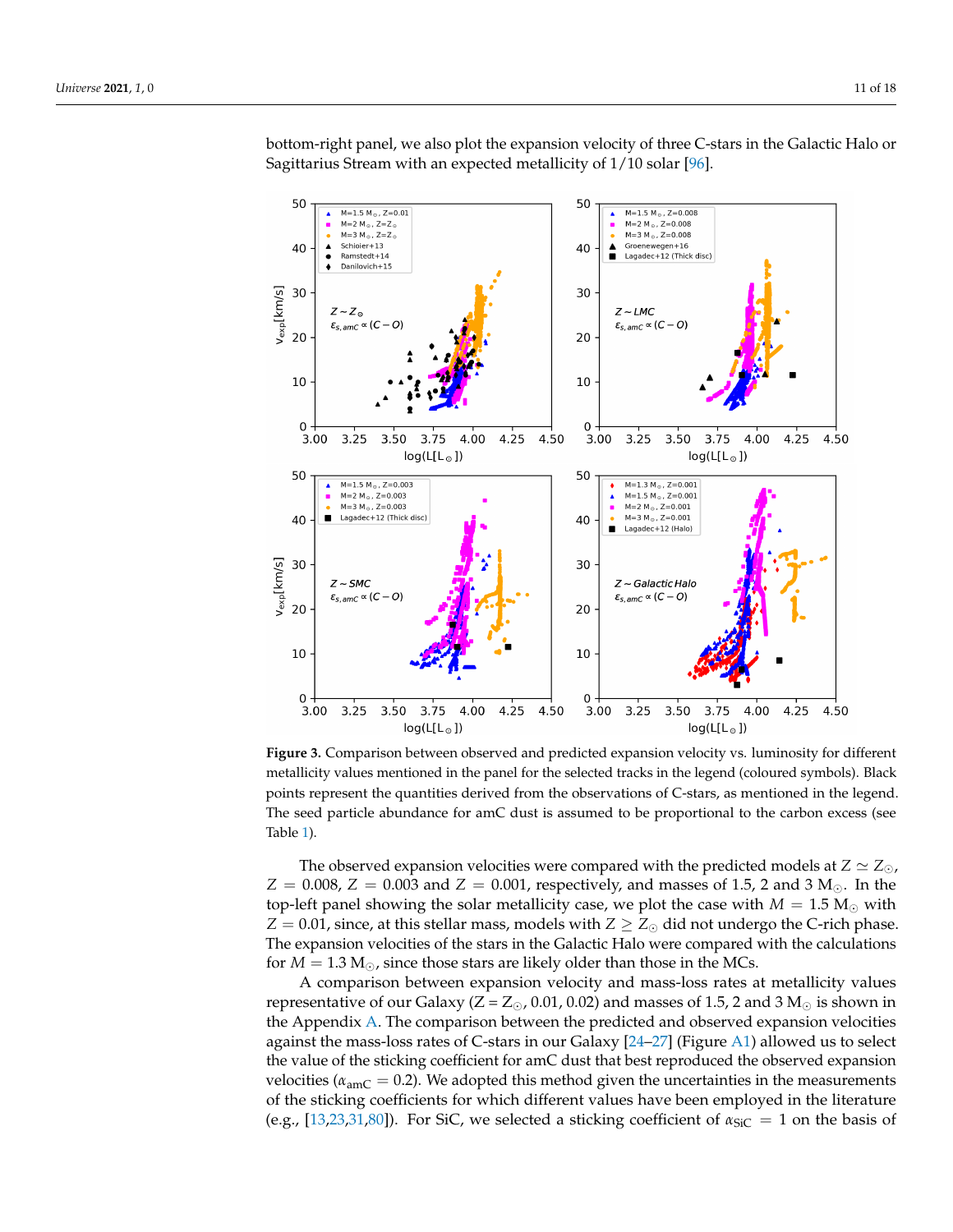<span id="page-10-0"></span>

bottom-right panel, we also plot the expansion velocity of three C-stars in the Galactic Halo or Sagittarius Stream with an expected metallicity of 1/10 solar [\[96\]](#page-17-8).

**Figure 3.** Comparison between observed and predicted expansion velocity vs. luminosity for different metallicity values mentioned in the panel for the selected tracks in the legend (coloured symbols). Black points represent the quantities derived from the observations of C-stars, as mentioned in the legend. The seed particle abundance for amC dust is assumed to be proportional to the carbon excess (see Table [1\)](#page-3-0).

The observed expansion velocities were compared with the predicted models at  $Z \simeq Z_{\odot}$ ,  $Z = 0.008$ ,  $Z = 0.003$  and  $Z = 0.001$ , respectively, and masses of 1.5, 2 and 3 M<sub>o</sub>. In the top-left panel showing the solar metallicity case, we plot the case with  $M = 1.5 M_{\odot}$  with  $Z = 0.01$ , since, at this stellar mass, models with  $Z \geq Z_{\odot}$  did not undergo the C-rich phase. The expansion velocities of the stars in the Galactic Halo were compared with the calculations for  $M = 1.3$   $M_{\odot}$ , since those stars are likely older than those in the MCs.

A comparison between expansion velocity and mass-loss rates at metallicity values representative of our Galaxy ( $Z = Z_{\odot}$ , 0.01, 0.02) and masses of 1.5, 2 and 3 M<sub> $\odot$ </sub> is shown in the Appendix [A.](#page-12-0) The comparison between the predicted and observed expansion velocities against the mass-loss rates of C-stars in our Galaxy [\[24](#page-14-0)[–27\]](#page-14-1) (Figure [A1\)](#page-12-1) allowed us to select the value of the sticking coefficient for amC dust that best reproduced the observed expansion velocities ( $\alpha_{\text{amC}} = 0.2$ ). We adopted this method given the uncertainties in the measurements of the sticking coefficients for which different values have been employed in the literature (e.g., [\[13,](#page-13-9)[23,](#page-13-16)[31,](#page-14-5)[80\]](#page-16-8)). For SiC, we selected a sticking coefficient of  $\alpha_{\text{SiC}} = 1$  on the basis of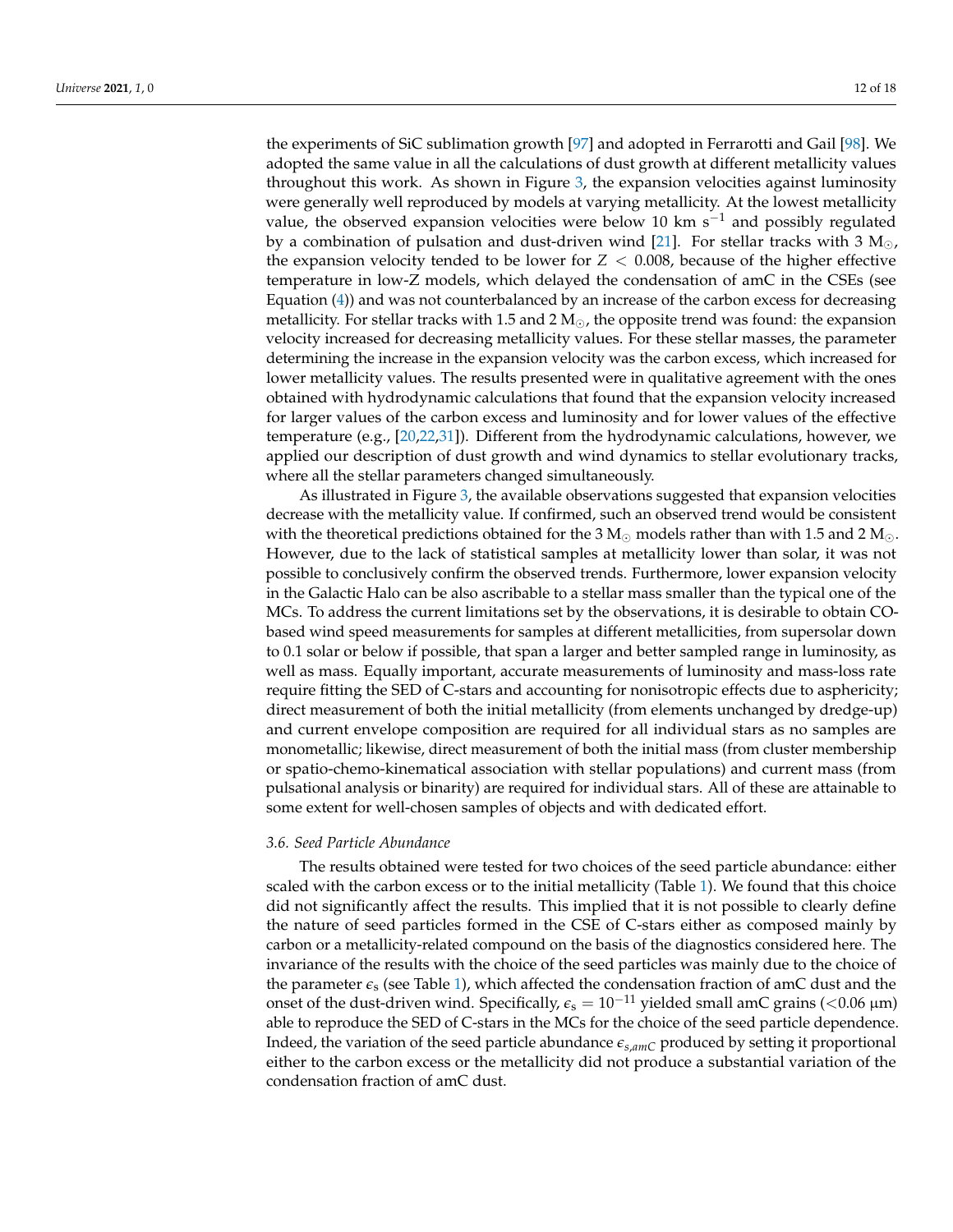the experiments of SiC sublimation growth [\[97\]](#page-17-9) and adopted in Ferrarotti and Gail [\[98\]](#page-17-10). We adopted the same value in all the calculations of dust growth at different metallicity values throughout this work. As shown in Figure [3,](#page-10-0) the expansion velocities against luminosity were generally well reproduced by models at varying metallicity. At the lowest metallicity value, the observed expansion velocities were below 10 km s<sup>-1</sup> and possibly regulated by a combination of pulsation and dust-driven wind [\[21\]](#page-13-21). For stellar tracks with 3  $M_{\odot}$ , the expansion velocity tended to be lower for  $Z < 0.008$ , because of the higher effective temperature in low-Z models, which delayed the condensation of amC in the CSEs (see Equation [\(4\)](#page-5-3)) and was not counterbalanced by an increase of the carbon excess for decreasing metallicity. For stellar tracks with 1.5 and 2  $M_{\odot}$ , the opposite trend was found: the expansion velocity increased for decreasing metallicity values. For these stellar masses, the parameter determining the increase in the expansion velocity was the carbon excess, which increased for lower metallicity values. The results presented were in qualitative agreement with the ones obtained with hydrodynamic calculations that found that the expansion velocity increased for larger values of the carbon excess and luminosity and for lower values of the effective temperature (e.g., [\[20,](#page-13-20)[22,](#page-13-17)[31\]](#page-14-5)). Different from the hydrodynamic calculations, however, we applied our description of dust growth and wind dynamics to stellar evolutionary tracks, where all the stellar parameters changed simultaneously.

As illustrated in Figure [3,](#page-10-0) the available observations suggested that expansion velocities decrease with the metallicity value. If confirmed, such an observed trend would be consistent with the theoretical predictions obtained for the 3  $M_{\odot}$  models rather than with 1.5 and 2  $M_{\odot}$ . However, due to the lack of statistical samples at metallicity lower than solar, it was not possible to conclusively confirm the observed trends. Furthermore, lower expansion velocity in the Galactic Halo can be also ascribable to a stellar mass smaller than the typical one of the MCs. To address the current limitations set by the observations, it is desirable to obtain CObased wind speed measurements for samples at different metallicities, from supersolar down to 0.1 solar or below if possible, that span a larger and better sampled range in luminosity, as well as mass. Equally important, accurate measurements of luminosity and mass-loss rate require fitting the SED of C-stars and accounting for nonisotropic effects due to asphericity; direct measurement of both the initial metallicity (from elements unchanged by dredge-up) and current envelope composition are required for all individual stars as no samples are monometallic; likewise, direct measurement of both the initial mass (from cluster membership or spatio-chemo-kinematical association with stellar populations) and current mass (from pulsational analysis or binarity) are required for individual stars. All of these are attainable to some extent for well-chosen samples of objects and with dedicated effort.

#### *3.6. Seed Particle Abundance*

The results obtained were tested for two choices of the seed particle abundance: either scaled with the carbon excess or to the initial metallicity (Table [1\)](#page-3-0). We found that this choice did not significantly affect the results. This implied that it is not possible to clearly define the nature of seed particles formed in the CSE of C-stars either as composed mainly by carbon or a metallicity-related compound on the basis of the diagnostics considered here. The invariance of the results with the choice of the seed particles was mainly due to the choice of the parameter  $\epsilon_s$  (see Table [1\)](#page-3-0), which affected the condensation fraction of amC dust and the onset of the dust-driven wind. Specifically,  $\epsilon_s = 10^{-11}$  yielded small amC grains (<0.06  $\mu$ m) able to reproduce the SED of C-stars in the MCs for the choice of the seed particle dependence. Indeed, the variation of the seed particle abundance *es*,*amC* produced by setting it proportional either to the carbon excess or the metallicity did not produce a substantial variation of the condensation fraction of amC dust.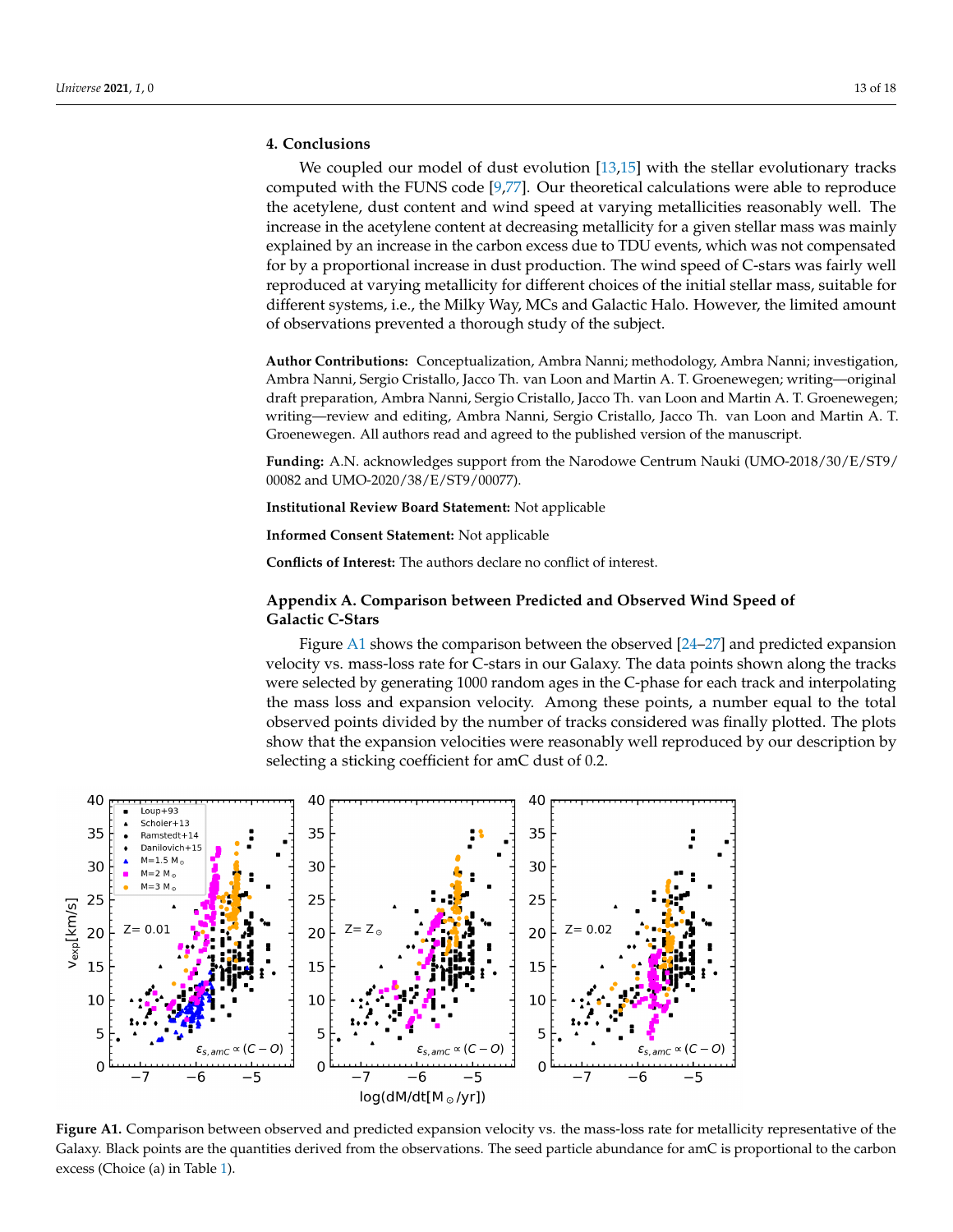## **4. Conclusions**

We coupled our model of dust evolution [\[13,](#page-13-9)[15\]](#page-13-11) with the stellar evolutionary tracks computed with the FUNS code [\[9,](#page-13-5)[77\]](#page-16-6). Our theoretical calculations were able to reproduce the acetylene, dust content and wind speed at varying metallicities reasonably well. The increase in the acetylene content at decreasing metallicity for a given stellar mass was mainly explained by an increase in the carbon excess due to TDU events, which was not compensated for by a proportional increase in dust production. The wind speed of C-stars was fairly well reproduced at varying metallicity for different choices of the initial stellar mass, suitable for different systems, i.e., the Milky Way, MCs and Galactic Halo. However, the limited amount of observations prevented a thorough study of the subject.

**Author Contributions:** Conceptualization, Ambra Nanni; methodology, Ambra Nanni; investigation, Ambra Nanni, Sergio Cristallo, Jacco Th. van Loon and Martin A. T. Groenewegen; writing—original draft preparation, Ambra Nanni, Sergio Cristallo, Jacco Th. van Loon and Martin A. T. Groenewegen; writing—review and editing, Ambra Nanni, Sergio Cristallo, Jacco Th. van Loon and Martin A. T. Groenewegen. All authors read and agreed to the published version of the manuscript.

**Funding:** A.N. acknowledges support from the Narodowe Centrum Nauki (UMO-2018/30/E/ST9/ 00082 and UMO-2020/38/E/ST9/00077).

**Institutional Review Board Statement:** Not applicable

**Informed Consent Statement:** Not applicable

**Conflicts of Interest:** The authors declare no conflict of interest.

## <span id="page-12-0"></span>**Appendix A. Comparison between Predicted and Observed Wind Speed of Galactic C-Stars**

Figure [A1](#page-12-1) shows the comparison between the observed [\[24](#page-14-0)[–27\]](#page-14-1) and predicted expansion velocity vs. mass-loss rate for C-stars in our Galaxy. The data points shown along the tracks were selected by generating 1000 random ages in the C-phase for each track and interpolating the mass loss and expansion velocity. Among these points, a number equal to the total observed points divided by the number of tracks considered was finally plotted. The plots show that the expansion velocities were reasonably well reproduced by our description by selecting a sticking coefficient for amC dust of 0.2.

<span id="page-12-1"></span>

**Figure A1.** Comparison between observed and predicted expansion velocity vs. the mass-loss rate for metallicity representative of the Galaxy. Black points are the quantities derived from the observations. The seed particle abundance for amC is proportional to the carbon excess (Choice (a) in Table [1\)](#page-3-0).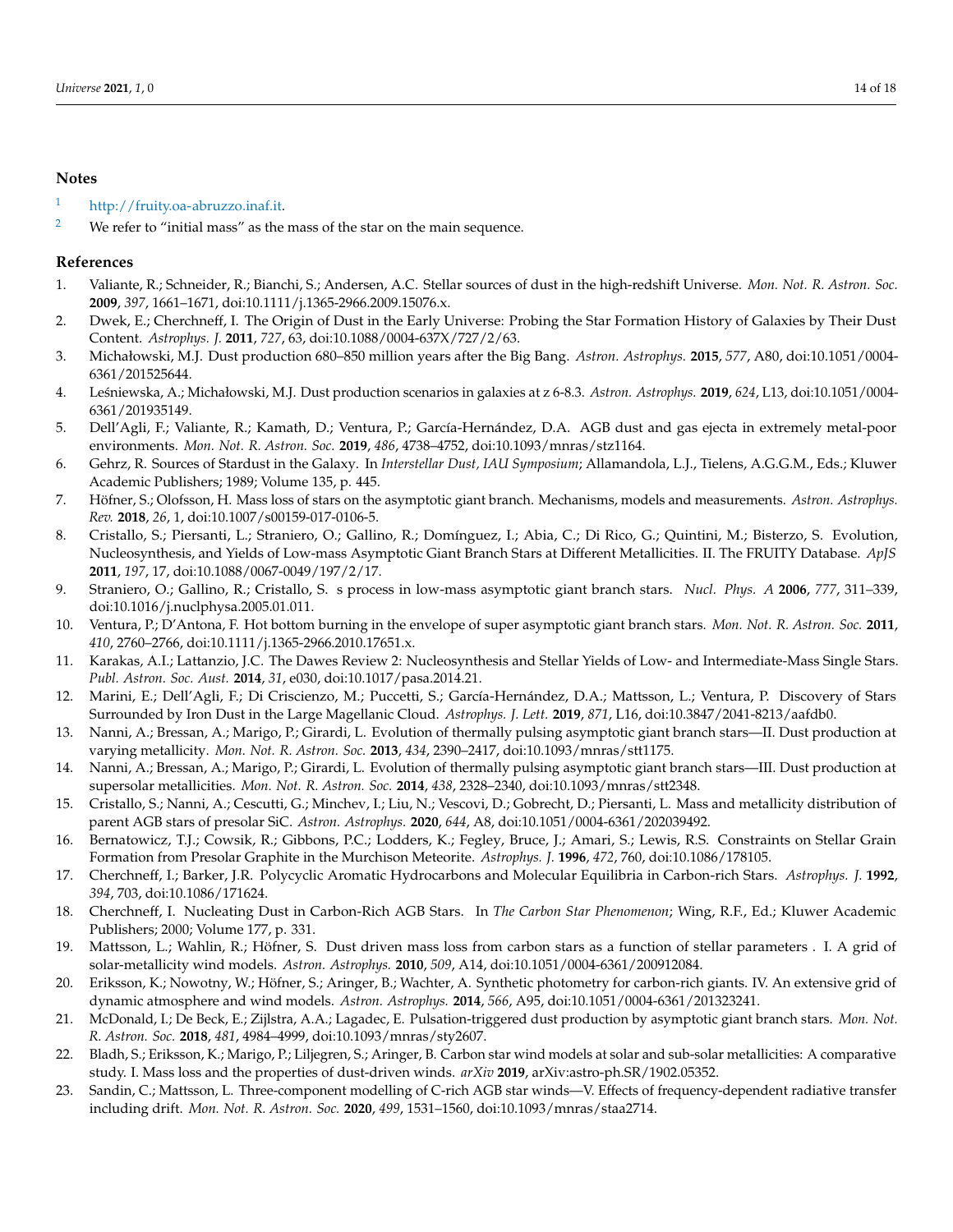# **Notes**

- <span id="page-13-18"></span>[1](#page-2-1) [http://fruity.oa-abruzzo.inaf.it.](http://fruity.oa-abruzzo.inaf.it)
- <span id="page-13-19"></span><sup>[2](#page-2-2)</sup> We refer to "initial mass" as the mass of the star on the main sequence.

# **References**

- <span id="page-13-0"></span>1. Valiante, R.; Schneider, R.; Bianchi, S.; Andersen, A.C. Stellar sources of dust in the high-redshift Universe. *Mon. Not. R. Astron. Soc.* **2009**, *397*, 1661–1671, doi:10.1111/j.1365-2966.2009.15076.x.
- 2. Dwek, E.; Cherchneff, I. The Origin of Dust in the Early Universe: Probing the Star Formation History of Galaxies by Their Dust Content. *Astrophys. J.* **2011**, *727*, 63, doi:10.1088/0004-637X/727/2/63.
- 3. Michałowski, M.J. Dust production 680–850 million years after the Big Bang. *Astron. Astrophys.* **2015**, *577*, A80, doi:10.1051/0004- 6361/201525644.
- 4. Le´sniewska, A.; Michałowski, M.J. Dust production scenarios in galaxies at z 6-8.3. *Astron. Astrophys.* **2019**, *624*, L13, doi:10.1051/0004- 6361/201935149.
- <span id="page-13-1"></span>5. Dell'Agli, F.; Valiante, R.; Kamath, D.; Ventura, P.; García-Hernández, D.A. AGB dust and gas ejecta in extremely metal-poor environments. *Mon. Not. R. Astron. Soc.* **2019**, *486*, 4738–4752, doi:10.1093/mnras/stz1164.
- <span id="page-13-2"></span>6. Gehrz, R. Sources of Stardust in the Galaxy. In *Interstellar Dust, IAU Symposium*; Allamandola, L.J., Tielens, A.G.G.M., Eds.; Kluwer Academic Publishers; 1989; Volume 135, p. 445.
- <span id="page-13-3"></span>7. Höfner, S.; Olofsson, H. Mass loss of stars on the asymptotic giant branch. Mechanisms, models and measurements. *Astron. Astrophys. Rev.* **2018**, *26*, 1, doi:10.1007/s00159-017-0106-5.
- <span id="page-13-4"></span>8. Cristallo, S.; Piersanti, L.; Straniero, O.; Gallino, R.; Domínguez, I.; Abia, C.; Di Rico, G.; Quintini, M.; Bisterzo, S. Evolution, Nucleosynthesis, and Yields of Low-mass Asymptotic Giant Branch Stars at Different Metallicities. II. The FRUITY Database. *ApJS* **2011**, *197*, 17, doi:10.1088/0067-0049/197/2/17.
- <span id="page-13-5"></span>9. Straniero, O.; Gallino, R.; Cristallo, S. s process in low-mass asymptotic giant branch stars. *Nucl. Phys. A* **2006**, *777*, 311–339, doi:10.1016/j.nuclphysa.2005.01.011.
- <span id="page-13-6"></span>10. Ventura, P.; D'Antona, F. Hot bottom burning in the envelope of super asymptotic giant branch stars. *Mon. Not. R. Astron. Soc.* **2011**, *410*, 2760–2766, doi:10.1111/j.1365-2966.2010.17651.x.
- <span id="page-13-7"></span>11. Karakas, A.I.; Lattanzio, J.C. The Dawes Review 2: Nucleosynthesis and Stellar Yields of Low- and Intermediate-Mass Single Stars. *Publ. Astron. Soc. Aust.* **2014**, *31*, e030, doi:10.1017/pasa.2014.21.
- <span id="page-13-8"></span>12. Marini, E.; Dell'Agli, F.; Di Criscienzo, M.; Puccetti, S.; García-Hernández, D.A.; Mattsson, L.; Ventura, P. Discovery of Stars Surrounded by Iron Dust in the Large Magellanic Cloud. *Astrophys. J. Lett.* **2019**, *871*, L16, doi:10.3847/2041-8213/aafdb0.
- <span id="page-13-9"></span>13. Nanni, A.; Bressan, A.; Marigo, P.; Girardi, L. Evolution of thermally pulsing asymptotic giant branch stars—II. Dust production at varying metallicity. *Mon. Not. R. Astron. Soc.* **2013**, *434*, 2390–2417, doi:10.1093/mnras/stt1175.
- <span id="page-13-10"></span>14. Nanni, A.; Bressan, A.; Marigo, P.; Girardi, L. Evolution of thermally pulsing asymptotic giant branch stars—III. Dust production at supersolar metallicities. *Mon. Not. R. Astron. Soc.* **2014**, *438*, 2328–2340, doi:10.1093/mnras/stt2348.
- <span id="page-13-11"></span>15. Cristallo, S.; Nanni, A.; Cescutti, G.; Minchev, I.; Liu, N.; Vescovi, D.; Gobrecht, D.; Piersanti, L. Mass and metallicity distribution of parent AGB stars of presolar SiC. *Astron. Astrophys.* **2020**, *644*, A8, doi:10.1051/0004-6361/202039492.
- <span id="page-13-12"></span>16. Bernatowicz, T.J.; Cowsik, R.; Gibbons, P.C.; Lodders, K.; Fegley, Bruce, J.; Amari, S.; Lewis, R.S. Constraints on Stellar Grain Formation from Presolar Graphite in the Murchison Meteorite. *Astrophys. J.* **1996**, *472*, 760, doi:10.1086/178105.
- <span id="page-13-13"></span>17. Cherchneff, I.; Barker, J.R. Polycyclic Aromatic Hydrocarbons and Molecular Equilibria in Carbon-rich Stars. *Astrophys. J.* **1992**, *394*, 703, doi:10.1086/171624.
- <span id="page-13-14"></span>18. Cherchneff, I. Nucleating Dust in Carbon-Rich AGB Stars. In *The Carbon Star Phenomenon*; Wing, R.F., Ed.; Kluwer Academic Publishers; 2000; Volume 177, p. 331.
- <span id="page-13-15"></span>19. Mattsson, L.; Wahlin, R.; Höfner, S. Dust driven mass loss from carbon stars as a function of stellar parameters . I. A grid of solar-metallicity wind models. *Astron. Astrophys.* **2010**, *509*, A14, doi:10.1051/0004-6361/200912084.
- <span id="page-13-20"></span>20. Eriksson, K.; Nowotny, W.; Höfner, S.; Aringer, B.; Wachter, A. Synthetic photometry for carbon-rich giants. IV. An extensive grid of dynamic atmosphere and wind models. *Astron. Astrophys.* **2014**, *566*, A95, doi:10.1051/0004-6361/201323241.
- <span id="page-13-21"></span>21. McDonald, I.; De Beck, E.; Zijlstra, A.A.; Lagadec, E. Pulsation-triggered dust production by asymptotic giant branch stars. *Mon. Not. R. Astron. Soc.* **2018**, *481*, 4984–4999, doi:10.1093/mnras/sty2607.
- <span id="page-13-17"></span>22. Bladh, S.; Eriksson, K.; Marigo, P.; Liljegren, S.; Aringer, B. Carbon star wind models at solar and sub-solar metallicities: A comparative study. I. Mass loss and the properties of dust-driven winds. *arXiv* **2019**, arXiv:astro-ph.SR/1902.05352.
- <span id="page-13-16"></span>23. Sandin, C.; Mattsson, L. Three-component modelling of C-rich AGB star winds—V. Effects of frequency-dependent radiative transfer including drift. *Mon. Not. R. Astron. Soc.* **2020**, *499*, 1531–1560, doi:10.1093/mnras/staa2714.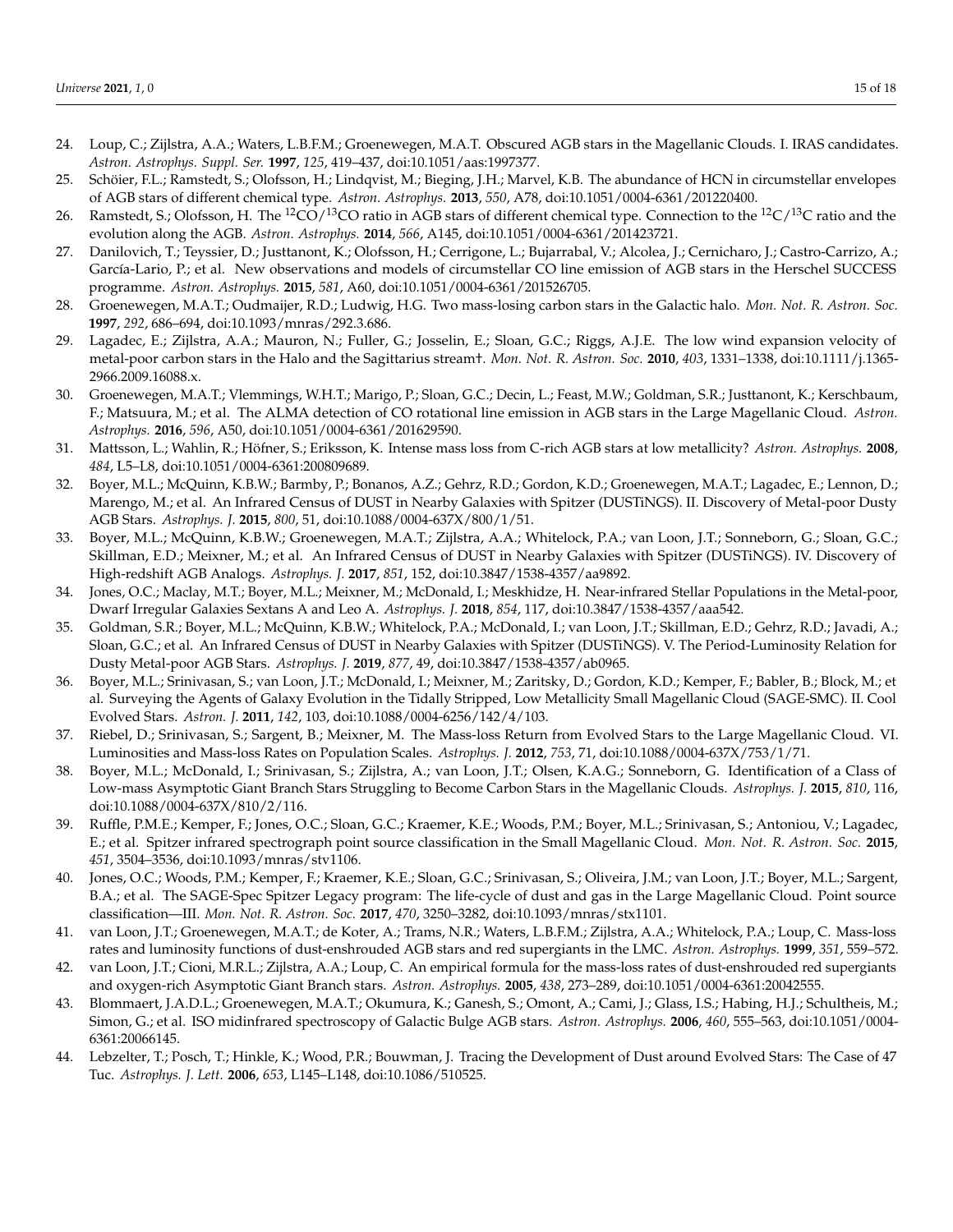- <span id="page-14-0"></span>24. Loup, C.; Zijlstra, A.A.; Waters, L.B.F.M.; Groenewegen, M.A.T. Obscured AGB stars in the Magellanic Clouds. I. IRAS candidates. *Astron. Astrophys. Suppl. Ser.* **1997**, *125*, 419–437, doi:10.1051/aas:1997377.
- <span id="page-14-14"></span>25. Schöier, F.L.; Ramstedt, S.; Olofsson, H.; Lindqvist, M.; Bieging, J.H.; Marvel, K.B. The abundance of HCN in circumstellar envelopes of AGB stars of different chemical type. *Astron. Astrophys.* **2013**, *550*, A78, doi:10.1051/0004-6361/201220400.
- 26. Ramstedt, S.; Olofsson, H. The <sup>12</sup>CO/<sup>13</sup>CO ratio in AGB stars of different chemical type. Connection to the <sup>12</sup>C/<sup>13</sup>C ratio and the evolution along the AGB. *Astron. Astrophys.* **2014**, *566*, A145, doi:10.1051/0004-6361/201423721.
- <span id="page-14-1"></span>27. Danilovich, T.; Teyssier, D.; Justtanont, K.; Olofsson, H.; Cerrigone, L.; Bujarrabal, V.; Alcolea, J.; Cernicharo, J.; Castro-Carrizo, A.; García-Lario, P.; et al. New observations and models of circumstellar CO line emission of AGB stars in the Herschel SUCCESS programme. *Astron. Astrophys.* **2015**, *581*, A60, doi:10.1051/0004-6361/201526705.
- <span id="page-14-2"></span>28. Groenewegen, M.A.T.; Oudmaijer, R.D.; Ludwig, H.G. Two mass-losing carbon stars in the Galactic halo. *Mon. Not. R. Astron. Soc.* **1997**, *292*, 686–694, doi:10.1093/mnras/292.3.686.
- <span id="page-14-3"></span>29. Lagadec, E.; Zijlstra, A.A.; Mauron, N.; Fuller, G.; Josselin, E.; Sloan, G.C.; Riggs, A.J.E. The low wind expansion velocity of metal-poor carbon stars in the Halo and the Sagittarius stream†. *Mon. Not. R. Astron. Soc.* **2010**, *403*, 1331–1338, doi:10.1111/j.1365- 2966.2009.16088.x.
- <span id="page-14-4"></span>30. Groenewegen, M.A.T.; Vlemmings, W.H.T.; Marigo, P.; Sloan, G.C.; Decin, L.; Feast, M.W.; Goldman, S.R.; Justtanont, K.; Kerschbaum, F.; Matsuura, M.; et al. The ALMA detection of CO rotational line emission in AGB stars in the Large Magellanic Cloud. *Astron. Astrophys.* **2016**, *596*, A50, doi:10.1051/0004-6361/201629590.
- <span id="page-14-5"></span>31. Mattsson, L.; Wahlin, R.; Höfner, S.; Eriksson, K. Intense mass loss from C-rich AGB stars at low metallicity? *Astron. Astrophys.* **2008**, *484*, L5–L8, doi:10.1051/0004-6361:200809689.
- <span id="page-14-6"></span>32. Boyer, M.L.; McQuinn, K.B.W.; Barmby, P.; Bonanos, A.Z.; Gehrz, R.D.; Gordon, K.D.; Groenewegen, M.A.T.; Lagadec, E.; Lennon, D.; Marengo, M.; et al. An Infrared Census of DUST in Nearby Galaxies with Spitzer (DUSTiNGS). II. Discovery of Metal-poor Dusty AGB Stars. *Astrophys. J.* **2015**, *800*, 51, doi:10.1088/0004-637X/800/1/51.
- <span id="page-14-13"></span>33. Boyer, M.L.; McQuinn, K.B.W.; Groenewegen, M.A.T.; Zijlstra, A.A.; Whitelock, P.A.; van Loon, J.T.; Sonneborn, G.; Sloan, G.C.; Skillman, E.D.; Meixner, M.; et al. An Infrared Census of DUST in Nearby Galaxies with Spitzer (DUSTiNGS). IV. Discovery of High-redshift AGB Analogs. *Astrophys. J.* **2017**, *851*, 152, doi:10.3847/1538-4357/aa9892.
- 34. Jones, O.C.; Maclay, M.T.; Boyer, M.L.; Meixner, M.; McDonald, I.; Meskhidze, H. Near-infrared Stellar Populations in the Metal-poor, Dwarf Irregular Galaxies Sextans A and Leo A. *Astrophys. J.* **2018**, *854*, 117, doi:10.3847/1538-4357/aaa542.
- <span id="page-14-7"></span>35. Goldman, S.R.; Boyer, M.L.; McQuinn, K.B.W.; Whitelock, P.A.; McDonald, I.; van Loon, J.T.; Skillman, E.D.; Gehrz, R.D.; Javadi, A.; Sloan, G.C.; et al. An Infrared Census of DUST in Nearby Galaxies with Spitzer (DUSTiNGS). V. The Period-Luminosity Relation for Dusty Metal-poor AGB Stars. *Astrophys. J.* **2019**, *877*, 49, doi:10.3847/1538-4357/ab0965.
- <span id="page-14-8"></span>36. Boyer, M.L.; Srinivasan, S.; van Loon, J.T.; McDonald, I.; Meixner, M.; Zaritsky, D.; Gordon, K.D.; Kemper, F.; Babler, B.; Block, M.; et al. Surveying the Agents of Galaxy Evolution in the Tidally Stripped, Low Metallicity Small Magellanic Cloud (SAGE-SMC). II. Cool Evolved Stars. *Astron. J.* **2011**, *142*, 103, doi:10.1088/0004-6256/142/4/103.
- <span id="page-14-9"></span>37. Riebel, D.; Srinivasan, S.; Sargent, B.; Meixner, M. The Mass-loss Return from Evolved Stars to the Large Magellanic Cloud. VI. Luminosities and Mass-loss Rates on Population Scales. *Astrophys. J.* **2012**, *753*, 71, doi:10.1088/0004-637X/753/1/71.
- <span id="page-14-10"></span>38. Boyer, M.L.; McDonald, I.; Srinivasan, S.; Zijlstra, A.; van Loon, J.T.; Olsen, K.A.G.; Sonneborn, G. Identification of a Class of Low-mass Asymptotic Giant Branch Stars Struggling to Become Carbon Stars in the Magellanic Clouds. *Astrophys. J.* **2015**, *810*, 116, doi:10.1088/0004-637X/810/2/116.
- 39. Ruffle, P.M.E.; Kemper, F.; Jones, O.C.; Sloan, G.C.; Kraemer, K.E.; Woods, P.M.; Boyer, M.L.; Srinivasan, S.; Antoniou, V.; Lagadec, E.; et al. Spitzer infrared spectrograph point source classification in the Small Magellanic Cloud. *Mon. Not. R. Astron. Soc.* **2015**, *451*, 3504–3536, doi:10.1093/mnras/stv1106.
- <span id="page-14-11"></span>40. Jones, O.C.; Woods, P.M.; Kemper, F.; Kraemer, K.E.; Sloan, G.C.; Srinivasan, S.; Oliveira, J.M.; van Loon, J.T.; Boyer, M.L.; Sargent, B.A.; et al. The SAGE-Spec Spitzer Legacy program: The life-cycle of dust and gas in the Large Magellanic Cloud. Point source classification—III. *Mon. Not. R. Astron. Soc.* **2017**, *470*, 3250–3282, doi:10.1093/mnras/stx1101.
- <span id="page-14-12"></span>41. van Loon, J.T.; Groenewegen, M.A.T.; de Koter, A.; Trams, N.R.; Waters, L.B.F.M.; Zijlstra, A.A.; Whitelock, P.A.; Loup, C. Mass-loss rates and luminosity functions of dust-enshrouded AGB stars and red supergiants in the LMC. *Astron. Astrophys.* **1999**, *351*, 559–572.
- 42. van Loon, J.T.; Cioni, M.R.L.; Zijlstra, A.A.; Loup, C. An empirical formula for the mass-loss rates of dust-enshrouded red supergiants and oxygen-rich Asymptotic Giant Branch stars. *Astron. Astrophys.* **2005**, *438*, 273–289, doi:10.1051/0004-6361:20042555.
- 43. Blommaert, J.A.D.L.; Groenewegen, M.A.T.; Okumura, K.; Ganesh, S.; Omont, A.; Cami, J.; Glass, I.S.; Habing, H.J.; Schultheis, M.; Simon, G.; et al. ISO midinfrared spectroscopy of Galactic Bulge AGB stars. *Astron. Astrophys.* **2006**, *460*, 555–563, doi:10.1051/0004- 6361:20066145.
- 44. Lebzelter, T.; Posch, T.; Hinkle, K.; Wood, P.R.; Bouwman, J. Tracing the Development of Dust around Evolved Stars: The Case of 47 Tuc. *Astrophys. J. Lett.* **2006**, *653*, L145–L148, doi:10.1086/510525.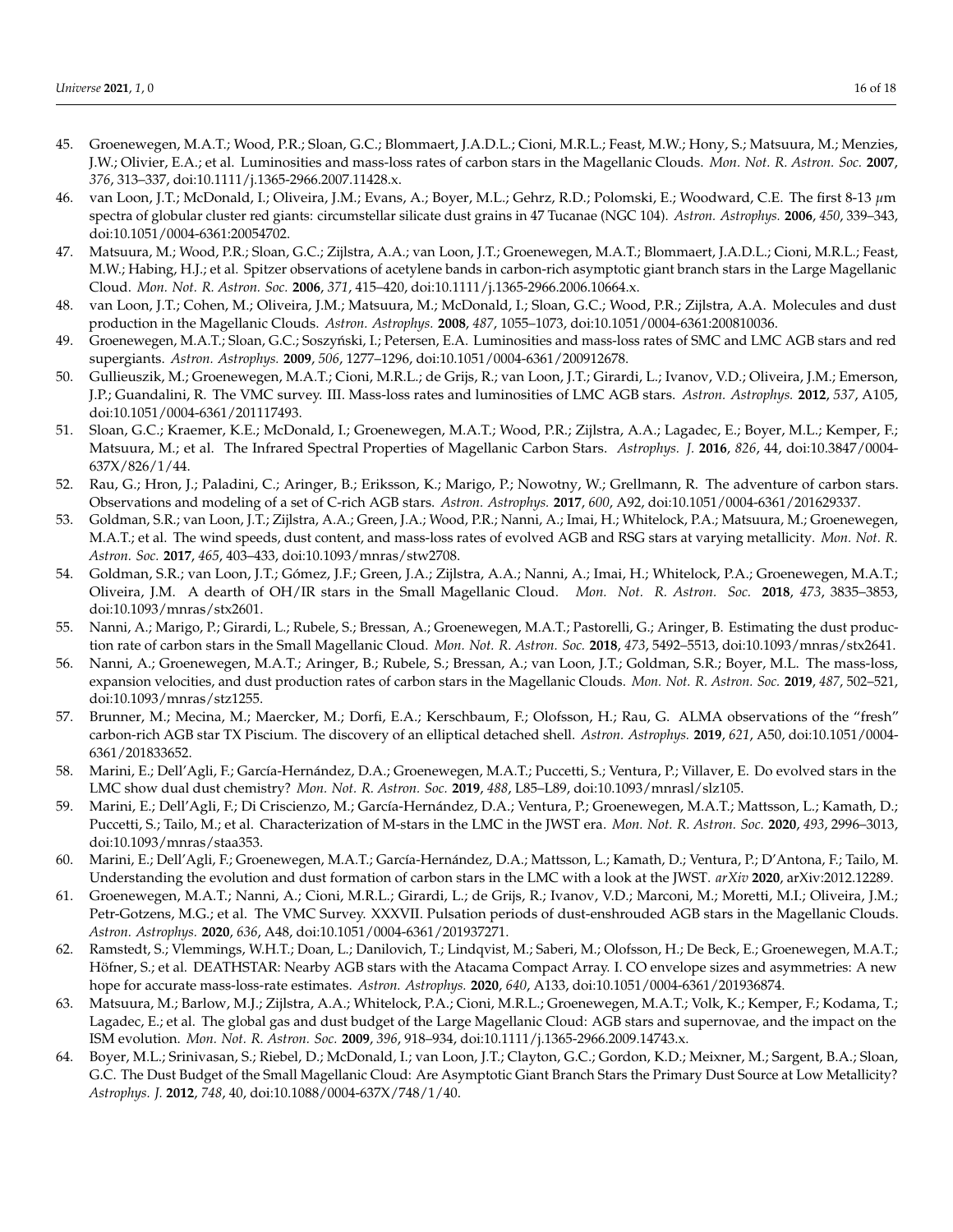- 45. Groenewegen, M.A.T.; Wood, P.R.; Sloan, G.C.; Blommaert, J.A.D.L.; Cioni, M.R.L.; Feast, M.W.; Hony, S.; Matsuura, M.; Menzies, J.W.; Olivier, E.A.; et al. Luminosities and mass-loss rates of carbon stars in the Magellanic Clouds. *Mon. Not. R. Astron. Soc.* **2007**, *376*, 313–337, doi:10.1111/j.1365-2966.2007.11428.x.
- 46. van Loon, J.T.; McDonald, I.; Oliveira, J.M.; Evans, A.; Boyer, M.L.; Gehrz, R.D.; Polomski, E.; Woodward, C.E. The first 8-13 *µ*m spectra of globular cluster red giants: circumstellar silicate dust grains in 47 Tucanae (NGC 104). *Astron. Astrophys.* **2006**, *450*, 339–343, doi:10.1051/0004-6361:20054702.
- <span id="page-15-2"></span>47. Matsuura, M.; Wood, P.R.; Sloan, G.C.; Zijlstra, A.A.; van Loon, J.T.; Groenewegen, M.A.T.; Blommaert, J.A.D.L.; Cioni, M.R.L.; Feast, M.W.; Habing, H.J.; et al. Spitzer observations of acetylene bands in carbon-rich asymptotic giant branch stars in the Large Magellanic Cloud. *Mon. Not. R. Astron. Soc.* **2006**, *371*, 415–420, doi:10.1111/j.1365-2966.2006.10664.x.
- <span id="page-15-3"></span>48. van Loon, J.T.; Cohen, M.; Oliveira, J.M.; Matsuura, M.; McDonald, I.; Sloan, G.C.; Wood, P.R.; Zijlstra, A.A. Molecules and dust production in the Magellanic Clouds. *Astron. Astrophys.* **2008**, *487*, 1055–1073, doi:10.1051/0004-6361:200810036.
- 49. Groenewegen, M.A.T.; Sloan, G.C.; Soszyński, I.; Petersen, E.A. Luminosities and mass-loss rates of SMC and LMC AGB stars and red supergiants. *Astron. Astrophys.* **2009**, *506*, 1277–1296, doi:10.1051/0004-6361/200912678.
- 50. Gullieuszik, M.; Groenewegen, M.A.T.; Cioni, M.R.L.; de Grijs, R.; van Loon, J.T.; Girardi, L.; Ivanov, V.D.; Oliveira, J.M.; Emerson, J.P.; Guandalini, R. The VMC survey. III. Mass-loss rates and luminosities of LMC AGB stars. *Astron. Astrophys.* **2012**, *537*, A105, doi:10.1051/0004-6361/201117493.
- <span id="page-15-4"></span>51. Sloan, G.C.; Kraemer, K.E.; McDonald, I.; Groenewegen, M.A.T.; Wood, P.R.; Zijlstra, A.A.; Lagadec, E.; Boyer, M.L.; Kemper, F.; Matsuura, M.; et al. The Infrared Spectral Properties of Magellanic Carbon Stars. *Astrophys. J.* **2016**, *826*, 44, doi:10.3847/0004- 637X/826/1/44.
- 52. Rau, G.; Hron, J.; Paladini, C.; Aringer, B.; Eriksson, K.; Marigo, P.; Nowotny, W.; Grellmann, R. The adventure of carbon stars. Observations and modeling of a set of C-rich AGB stars. *Astron. Astrophys.* **2017**, *600*, A92, doi:10.1051/0004-6361/201629337.
- 53. Goldman, S.R.; van Loon, J.T.; Zijlstra, A.A.; Green, J.A.; Wood, P.R.; Nanni, A.; Imai, H.; Whitelock, P.A.; Matsuura, M.; Groenewegen, M.A.T.; et al. The wind speeds, dust content, and mass-loss rates of evolved AGB and RSG stars at varying metallicity. *Mon. Not. R. Astron. Soc.* **2017**, *465*, 403–433, doi:10.1093/mnras/stw2708.
- 54. Goldman, S.R.; van Loon, J.T.; Gómez, J.F.; Green, J.A.; Zijlstra, A.A.; Nanni, A.; Imai, H.; Whitelock, P.A.; Groenewegen, M.A.T.; Oliveira, J.M. A dearth of OH/IR stars in the Small Magellanic Cloud. *Mon. Not. R. Astron. Soc.* **2018**, *473*, 3835–3853, doi:10.1093/mnras/stx2601.
- <span id="page-15-5"></span>55. Nanni, A.; Marigo, P.; Girardi, L.; Rubele, S.; Bressan, A.; Groenewegen, M.A.T.; Pastorelli, G.; Aringer, B. Estimating the dust production rate of carbon stars in the Small Magellanic Cloud. *Mon. Not. R. Astron. Soc.* **2018**, *473*, 5492–5513, doi:10.1093/mnras/stx2641.
- <span id="page-15-6"></span>56. Nanni, A.; Groenewegen, M.A.T.; Aringer, B.; Rubele, S.; Bressan, A.; van Loon, J.T.; Goldman, S.R.; Boyer, M.L. The mass-loss, expansion velocities, and dust production rates of carbon stars in the Magellanic Clouds. *Mon. Not. R. Astron. Soc.* **2019**, *487*, 502–521, doi:10.1093/mnras/stz1255.
- 57. Brunner, M.; Mecina, M.; Maercker, M.; Dorfi, E.A.; Kerschbaum, F.; Olofsson, H.; Rau, G. ALMA observations of the "fresh" carbon-rich AGB star TX Piscium. The discovery of an elliptical detached shell. *Astron. Astrophys.* **2019**, *621*, A50, doi:10.1051/0004- 6361/201833652.
- 58. Marini, E.; Dell'Agli, F.; García-Hernández, D.A.; Groenewegen, M.A.T.; Puccetti, S.; Ventura, P.; Villaver, E. Do evolved stars in the LMC show dual dust chemistry? *Mon. Not. R. Astron. Soc.* **2019**, *488*, L85–L89, doi:10.1093/mnrasl/slz105.
- 59. Marini, E.; Dell'Agli, F.; Di Criscienzo, M.; García-Hernández, D.A.; Ventura, P.; Groenewegen, M.A.T.; Mattsson, L.; Kamath, D.; Puccetti, S.; Tailo, M.; et al. Characterization of M-stars in the LMC in the JWST era. *Mon. Not. R. Astron. Soc.* **2020**, *493*, 2996–3013, doi:10.1093/mnras/staa353.
- 60. Marini, E.; Dell'Agli, F.; Groenewegen, M.A.T.; García-Hernández, D.A.; Mattsson, L.; Kamath, D.; Ventura, P.; D'Antona, F.; Tailo, M. Understanding the evolution and dust formation of carbon stars in the LMC with a look at the JWST. *arXiv* **2020**, arXiv:2012.12289.
- 61. Groenewegen, M.A.T.; Nanni, A.; Cioni, M.R.L.; Girardi, L.; de Grijs, R.; Ivanov, V.D.; Marconi, M.; Moretti, M.I.; Oliveira, J.M.; Petr-Gotzens, M.G.; et al. The VMC Survey. XXXVII. Pulsation periods of dust-enshrouded AGB stars in the Magellanic Clouds. *Astron. Astrophys.* **2020**, *636*, A48, doi:10.1051/0004-6361/201937271.
- <span id="page-15-0"></span>62. Ramstedt, S.; Vlemmings, W.H.T.; Doan, L.; Danilovich, T.; Lindqvist, M.; Saberi, M.; Olofsson, H.; De Beck, E.; Groenewegen, M.A.T.; Höfner, S.; et al. DEATHSTAR: Nearby AGB stars with the Atacama Compact Array. I. CO envelope sizes and asymmetries: A new hope for accurate mass-loss-rate estimates. *Astron. Astrophys.* **2020**, *640*, A133, doi:10.1051/0004-6361/201936874.
- <span id="page-15-1"></span>63. Matsuura, M.; Barlow, M.J.; Zijlstra, A.A.; Whitelock, P.A.; Cioni, M.R.L.; Groenewegen, M.A.T.; Volk, K.; Kemper, F.; Kodama, T.; Lagadec, E.; et al. The global gas and dust budget of the Large Magellanic Cloud: AGB stars and supernovae, and the impact on the ISM evolution. *Mon. Not. R. Astron. Soc.* **2009**, *396*, 918–934, doi:10.1111/j.1365-2966.2009.14743.x.
- 64. Boyer, M.L.; Srinivasan, S.; Riebel, D.; McDonald, I.; van Loon, J.T.; Clayton, G.C.; Gordon, K.D.; Meixner, M.; Sargent, B.A.; Sloan, G.C. The Dust Budget of the Small Magellanic Cloud: Are Asymptotic Giant Branch Stars the Primary Dust Source at Low Metallicity? *Astrophys. J.* **2012**, *748*, 40, doi:10.1088/0004-637X/748/1/40.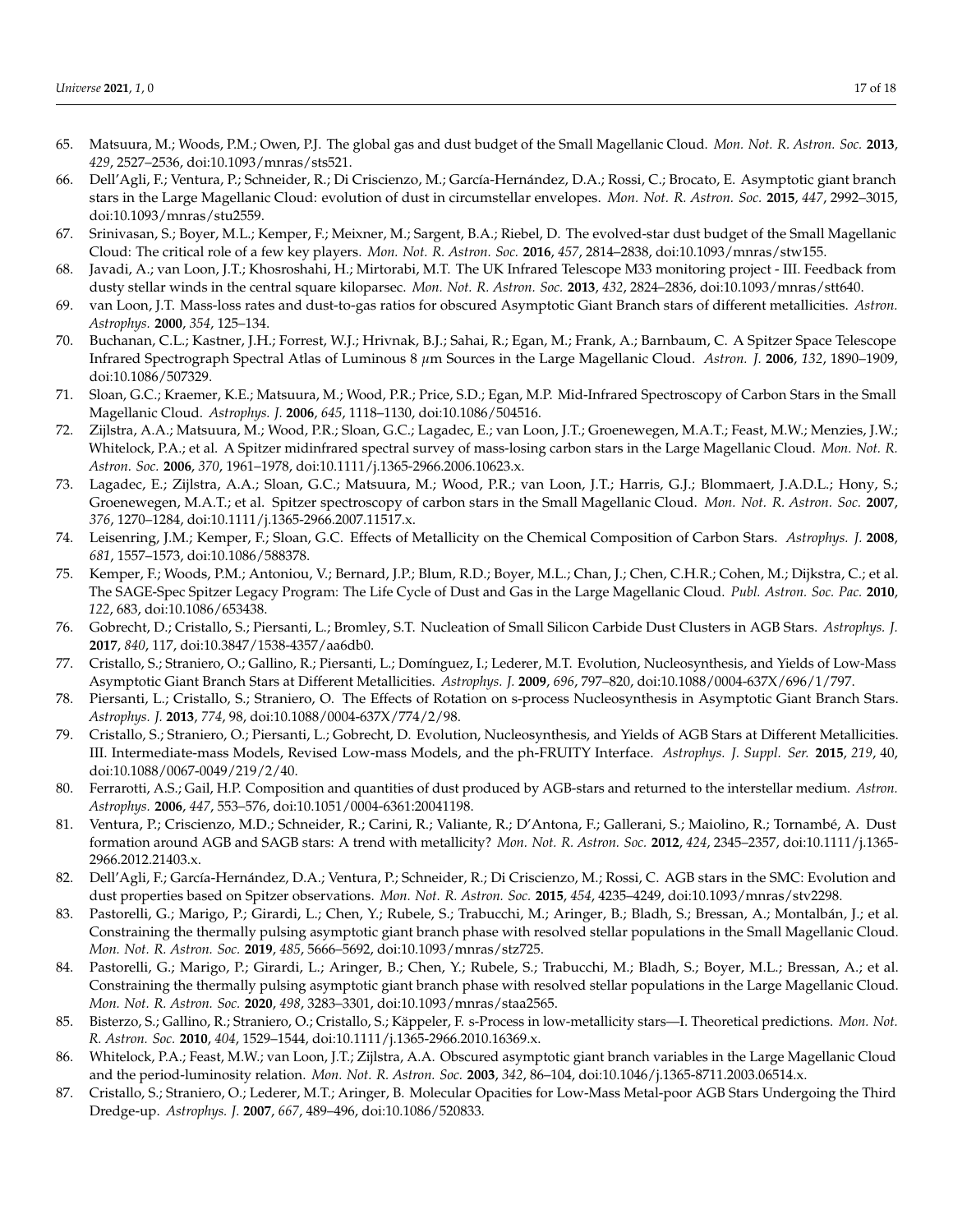- 65. Matsuura, M.; Woods, P.M.; Owen, P.J. The global gas and dust budget of the Small Magellanic Cloud. *Mon. Not. R. Astron. Soc.* **2013**, *429*, 2527–2536, doi:10.1093/mnras/sts521.
- <span id="page-16-10"></span>66. Dell'Agli, F.; Ventura, P.; Schneider, R.; Di Criscienzo, M.; García-Hernández, D.A.; Rossi, C.; Brocato, E. Asymptotic giant branch stars in the Large Magellanic Cloud: evolution of dust in circumstellar envelopes. *Mon. Not. R. Astron. Soc.* **2015**, *447*, 2992–3015, doi:10.1093/mnras/stu2559.
- <span id="page-16-0"></span>67. Srinivasan, S.; Boyer, M.L.; Kemper, F.; Meixner, M.; Sargent, B.A.; Riebel, D. The evolved-star dust budget of the Small Magellanic Cloud: The critical role of a few key players. *Mon. Not. R. Astron. Soc.* **2016**, *457*, 2814–2838, doi:10.1093/mnras/stw155.
- <span id="page-16-1"></span>68. Javadi, A.; van Loon, J.T.; Khosroshahi, H.; Mirtorabi, M.T. The UK Infrared Telescope M33 monitoring project - III. Feedback from dusty stellar winds in the central square kiloparsec. *Mon. Not. R. Astron. Soc.* **2013**, *432*, 2824–2836, doi:10.1093/mnras/stt640.
- <span id="page-16-2"></span>69. van Loon, J.T. Mass-loss rates and dust-to-gas ratios for obscured Asymptotic Giant Branch stars of different metallicities. *Astron. Astrophys.* **2000**, *354*, 125–134.
- <span id="page-16-3"></span>70. Buchanan, C.L.; Kastner, J.H.; Forrest, W.J.; Hrivnak, B.J.; Sahai, R.; Egan, M.; Frank, A.; Barnbaum, C. A Spitzer Space Telescope Infrared Spectrograph Spectral Atlas of Luminous 8 *µ*m Sources in the Large Magellanic Cloud. *Astron. J.* **2006**, *132*, 1890–1909, doi:10.1086/507329.
- 71. Sloan, G.C.; Kraemer, K.E.; Matsuura, M.; Wood, P.R.; Price, S.D.; Egan, M.P. Mid-Infrared Spectroscopy of Carbon Stars in the Small Magellanic Cloud. *Astrophys. J.* **2006**, *645*, 1118–1130, doi:10.1086/504516.
- 72. Zijlstra, A.A.; Matsuura, M.; Wood, P.R.; Sloan, G.C.; Lagadec, E.; van Loon, J.T.; Groenewegen, M.A.T.; Feast, M.W.; Menzies, J.W.; Whitelock, P.A.; et al. A Spitzer midinfrared spectral survey of mass-losing carbon stars in the Large Magellanic Cloud. *Mon. Not. R. Astron. Soc.* **2006**, *370*, 1961–1978, doi:10.1111/j.1365-2966.2006.10623.x.
- 73. Lagadec, E.; Zijlstra, A.A.; Sloan, G.C.; Matsuura, M.; Wood, P.R.; van Loon, J.T.; Harris, G.J.; Blommaert, J.A.D.L.; Hony, S.; Groenewegen, M.A.T.; et al. Spitzer spectroscopy of carbon stars in the Small Magellanic Cloud. *Mon. Not. R. Astron. Soc.* **2007**, *376*, 1270–1284, doi:10.1111/j.1365-2966.2007.11517.x.
- 74. Leisenring, J.M.; Kemper, F.; Sloan, G.C. Effects of Metallicity on the Chemical Composition of Carbon Stars. *Astrophys. J.* **2008**, *681*, 1557–1573, doi:10.1086/588378.
- <span id="page-16-4"></span>75. Kemper, F.; Woods, P.M.; Antoniou, V.; Bernard, J.P.; Blum, R.D.; Boyer, M.L.; Chan, J.; Chen, C.H.R.; Cohen, M.; Dijkstra, C.; et al. The SAGE-Spec Spitzer Legacy Program: The Life Cycle of Dust and Gas in the Large Magellanic Cloud. *Publ. Astron. Soc. Pac.* **2010**, *122*, 683, doi:10.1086/653438.
- <span id="page-16-5"></span>76. Gobrecht, D.; Cristallo, S.; Piersanti, L.; Bromley, S.T. Nucleation of Small Silicon Carbide Dust Clusters in AGB Stars. *Astrophys. J.* **2017**, *840*, 117, doi:10.3847/1538-4357/aa6db0.
- <span id="page-16-6"></span>77. Cristallo, S.; Straniero, O.; Gallino, R.; Piersanti, L.; Domínguez, I.; Lederer, M.T. Evolution, Nucleosynthesis, and Yields of Low-Mass Asymptotic Giant Branch Stars at Different Metallicities. *Astrophys. J.* **2009**, *696*, 797–820, doi:10.1088/0004-637X/696/1/797.
- 78. Piersanti, L.; Cristallo, S.; Straniero, O. The Effects of Rotation on s-process Nucleosynthesis in Asymptotic Giant Branch Stars. *Astrophys. J.* **2013**, *774*, 98, doi:10.1088/0004-637X/774/2/98.
- <span id="page-16-7"></span>79. Cristallo, S.; Straniero, O.; Piersanti, L.; Gobrecht, D. Evolution, Nucleosynthesis, and Yields of AGB Stars at Different Metallicities. III. Intermediate-mass Models, Revised Low-mass Models, and the ph-FRUITY Interface. *Astrophys. J. Suppl. Ser.* **2015**, *219*, 40, doi:10.1088/0067-0049/219/2/40.
- <span id="page-16-8"></span>80. Ferrarotti, A.S.; Gail, H.P. Composition and quantities of dust produced by AGB-stars and returned to the interstellar medium. *Astron. Astrophys.* **2006**, *447*, 553–576, doi:10.1051/0004-6361:20041198.
- <span id="page-16-9"></span>81. Ventura, P.; Criscienzo, M.D.; Schneider, R.; Carini, R.; Valiante, R.; D'Antona, F.; Gallerani, S.; Maiolino, R.; Tornambé, A. Dust formation around AGB and SAGB stars: A trend with metallicity? *Mon. Not. R. Astron. Soc.* **2012**, *424*, 2345–2357, doi:10.1111/j.1365- 2966.2012.21403.x.
- <span id="page-16-11"></span>82. Dell'Agli, F.; García-Hernández, D.A.; Ventura, P.; Schneider, R.; Di Criscienzo, M.; Rossi, C. AGB stars in the SMC: Evolution and dust properties based on Spitzer observations. *Mon. Not. R. Astron. Soc.* **2015**, *454*, 4235–4249, doi:10.1093/mnras/stv2298.
- 83. Pastorelli, G.; Marigo, P.; Girardi, L.; Chen, Y.; Rubele, S.; Trabucchi, M.; Aringer, B.; Bladh, S.; Bressan, A.; Montalbán, J.; et al. Constraining the thermally pulsing asymptotic giant branch phase with resolved stellar populations in the Small Magellanic Cloud. *Mon. Not. R. Astron. Soc.* **2019**, *485*, 5666–5692, doi:10.1093/mnras/stz725.
- <span id="page-16-12"></span>84. Pastorelli, G.; Marigo, P.; Girardi, L.; Aringer, B.; Chen, Y.; Rubele, S.; Trabucchi, M.; Bladh, S.; Boyer, M.L.; Bressan, A.; et al. Constraining the thermally pulsing asymptotic giant branch phase with resolved stellar populations in the Large Magellanic Cloud. *Mon. Not. R. Astron. Soc.* **2020**, *498*, 3283–3301, doi:10.1093/mnras/staa2565.
- <span id="page-16-13"></span>85. Bisterzo, S.; Gallino, R.; Straniero, O.; Cristallo, S.; Käppeler, F. s-Process in low-metallicity stars—I. Theoretical predictions. *Mon. Not. R. Astron. Soc.* **2010**, *404*, 1529–1544, doi:10.1111/j.1365-2966.2010.16369.x.
- <span id="page-16-14"></span>86. Whitelock, P.A.; Feast, M.W.; van Loon, J.T.; Zijlstra, A.A. Obscured asymptotic giant branch variables in the Large Magellanic Cloud and the period-luminosity relation. *Mon. Not. R. Astron. Soc.* **2003**, *342*, 86–104, doi:10.1046/j.1365-8711.2003.06514.x.
- <span id="page-16-15"></span>87. Cristallo, S.; Straniero, O.; Lederer, M.T.; Aringer, B. Molecular Opacities for Low-Mass Metal-poor AGB Stars Undergoing the Third Dredge-up. *Astrophys. J.* **2007**, *667*, 489–496, doi:10.1086/520833.